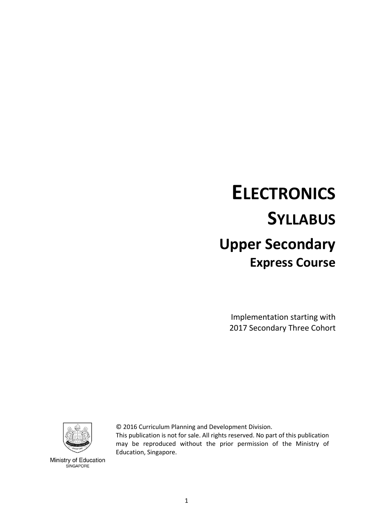# **ELECTRONICS SYLLABUS Upper Secondary Express Course**

Implementation starting with 2017 Secondary Three Cohort



© 2016 Curriculum Planning and Development Division. This publication is not for sale. All rights reserved. No part of this publication may be reproduced without the prior permission of the Ministry of Education, Singapore.

Ministry of Education SINGAPORE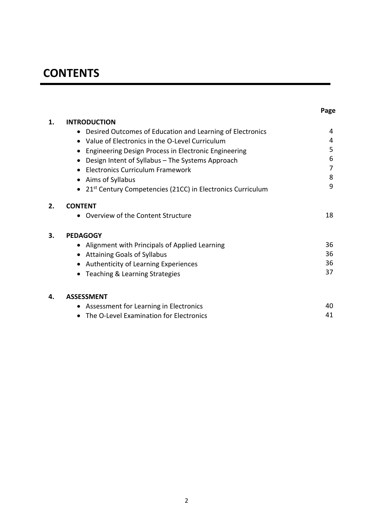# **CONTENTS**

|    |                                                                        | Page |
|----|------------------------------------------------------------------------|------|
| 1. | <b>INTRODUCTION</b>                                                    |      |
|    | Desired Outcomes of Education and Learning of Electronics<br>٠         | 4    |
|    | Value of Electronics in the O-Level Curriculum                         | 4    |
|    | Engineering Design Process in Electronic Engineering<br>$\bullet$      | 5    |
|    | Design Intent of Syllabus - The Systems Approach<br>٠                  | 6    |
|    | Electronics Curriculum Framework                                       | 7    |
|    | Aims of Syllabus<br>$\bullet$                                          | 8    |
|    | 21 <sup>st</sup> Century Competencies (21CC) in Electronics Curriculum | 9    |
| 2. | <b>CONTENT</b>                                                         |      |
|    | Overview of the Content Structure                                      | 18   |
| 3. | <b>PEDAGOGY</b>                                                        |      |
|    | Alignment with Principals of Applied Learning                          | 36   |
|    | <b>Attaining Goals of Syllabus</b><br>٠                                | 36   |
|    | Authenticity of Learning Experiences                                   | 36   |
|    | Teaching & Learning Strategies<br>٠                                    | 37   |
| 4. | <b>ASSESSMENT</b>                                                      |      |
|    | Assessment for Learning in Electronics                                 | 40   |
|    | The O-Level Examination for Electronics                                | 41   |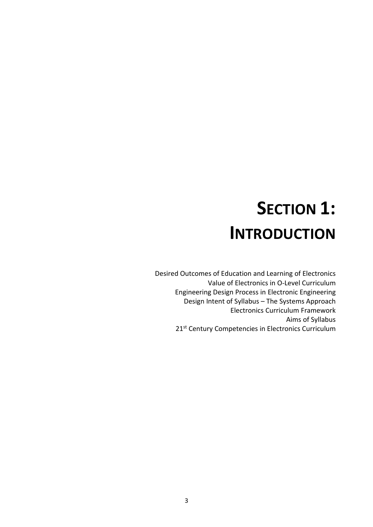# **SECTION 1: INTRODUCTION**

Desired Outcomes of Education and Learning of Electronics Value of Electronics in O-Level Curriculum Engineering Design Process in Electronic Engineering Design Intent of Syllabus – The Systems Approach Electronics Curriculum Framework Aims of Syllabus 21st Century Competencies in Electronics Curriculum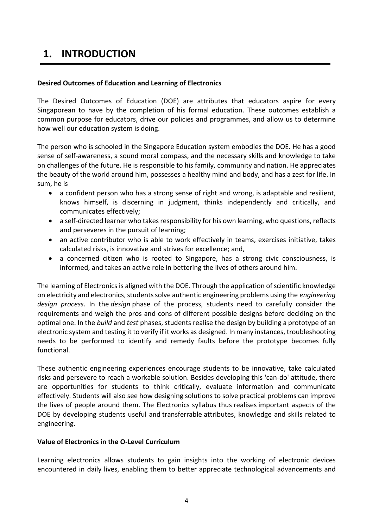## **1. INTRODUCTION**

### **Desired Outcomes of Education and Learning of Electronics**

The Desired Outcomes of Education (DOE) are attributes that educators aspire for every Singaporean to have by the completion of his formal education. These outcomes establish a common purpose for educators, drive our policies and programmes, and allow us to determine how well our education system is doing.

The person who is schooled in the Singapore Education system embodies the DOE. He has a good sense of self-awareness, a sound moral compass, and the necessary skills and knowledge to take on challenges of the future. He is responsible to his family, community and nation. He appreciates the beauty of the world around him, possesses a healthy mind and body, and has a zest for life. In sum, he is

- a confident person who has a strong sense of right and wrong, is adaptable and resilient, knows himself, is discerning in judgment, thinks independently and critically, and communicates effectively;
- a self-directed learner who takes responsibility for his own learning, who questions, reflects and perseveres in the pursuit of learning;
- an active contributor who is able to work effectively in teams, exercises initiative, takes calculated risks, is innovative and strives for excellence; and,
- a concerned citizen who is rooted to Singapore, has a strong civic consciousness, is informed, and takes an active role in bettering the lives of others around him.

The learning of Electronics is aligned with the DOE. Through the application of scientific knowledge on electricity and electronics, students solve authentic engineering problems using the *engineering design process*. In the *design* phase of the process, students need to carefully consider the requirements and weigh the pros and cons of different possible designs before deciding on the optimal one. In the *build* and *test* phases, students realise the design by building a prototype of an electronic system and testing it to verify if it works as designed. In many instances, troubleshooting needs to be performed to identify and remedy faults before the prototype becomes fully functional.

These authentic engineering experiences encourage students to be innovative, take calculated risks and persevere to reach a workable solution. Besides developing this 'can-do' attitude, there are opportunities for students to think critically, evaluate information and communicate effectively. Students will also see how designing solutions to solve practical problems can improve the lives of people around them. The Electronics syllabus thus realises important aspects of the DOE by developing students useful and transferrable attributes, knowledge and skills related to engineering.

### **Value of Electronics in the O-Level Curriculum**

Learning electronics allows students to gain insights into the working of electronic devices encountered in daily lives, enabling them to better appreciate technological advancements and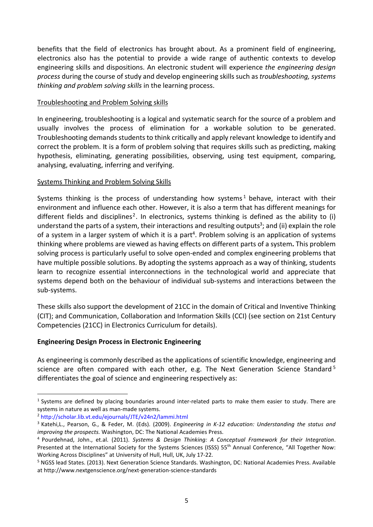benefits that the field of electronics has brought about. As a prominent field of engineering, electronics also has the potential to provide a wide range of authentic contexts to develop engineering skills and dispositions. An electronic student will experience *the engineering design process* during the course of study and develop engineering skills such as *troubleshooting, systems thinking and problem solving skills* in the learning process.

### Troubleshooting and Problem Solving skills

In engineering, troubleshooting is a logical and systematic search for the source of a problem and usually involves the process of elimination for a workable solution to be generated. Troubleshooting demands students to think critically and apply relevant knowledge to identify and correct the problem. It is a form of problem solving that requires skills such as predicting, making hypothesis, eliminating, generating possibilities, observing, using test equipment, comparing, analysing, evaluating, inferring and verifying.

### Systems Thinking and Problem Solving Skills

Systems thinking is the process of understanding how systems<sup>1</sup> behave, interact with their environment and influence each other. However, it is also a term that has different meanings for different fields and disciplines<sup>2</sup>. In electronics, systems thinking is defined as the ability to (i) understand the parts of a system, their interactions and resulting outputs<sup>3</sup>; and (ii) explain the role of a system in a larger system of which it is a part<sup>4</sup>. Problem solving is an application of systems thinking where problems are viewed as having effects on different parts of a system**.** This problem solving process is particularly useful to solve open-ended and complex engineering problems that have multiple possible solutions. By adopting the systems approach as a way of thinking, students learn to recognize essential interconnections in the technological world and appreciate that systems depend both on the behaviour of individual sub-systems and interactions between the sub-systems.

These skills also support the development of 21CC in the domain of Critical and Inventive Thinking (CIT); and Communication, Collaboration and Information Skills (CCI) (see section on 21st Century Competencies (21CC) in Electronics Curriculum for details).

### **Engineering Design Process in Electronic Engineering**

As engineering is commonly described as the applications of scientific knowledge, engineering and science are often compared with each other, e.g. The Next Generation Science Standard<sup>5</sup> differentiates the goal of science and engineering respectively as:

 $\overline{a}$ 

<sup>&</sup>lt;sup>1</sup> Systems are defined by placing boundaries around inter-related parts to make them easier to study. There are systems in nature as well as man-made systems.

<sup>2</sup> <http://scholar.lib.vt.edu/ejournals/JTE/v24n2/lammi.html>

<sup>3</sup> Katehi,L., Pearson, G., & Feder, M. (Eds). (2009). *Engineering in K-12 education: Understanding the status and improving the prospects.* Washington, DC: The National Academies Press.

<sup>4</sup> Pourdehnad, John., et.al. (2011). *Systems & Design Thinking: A Conceptual Framework for their Integration*. Presented at the International Society for the Systems Sciences (ISSS) 55<sup>th</sup> Annual Conference, "All Together Now: Working Across Disciplines" at University of Hull, Hull, UK, July 17-22.

<sup>5</sup> NGSS lead States. (2013). Next Generation Science Standards. Washington, DC: National Academies Press. Available at <http://www.nextgenscience.org/next-generation-science-standards>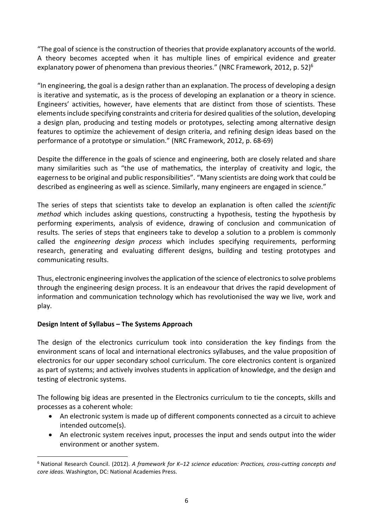"The goal of science is the construction of theories that provide explanatory accounts of the world. A theory becomes accepted when it has multiple lines of empirical evidence and greater explanatory power of phenomena than previous theories." (NRC Framework, 2012, p. 52) $^6$ 

"In engineering, the goal is a design rather than an explanation. The process of developing a design is iterative and systematic, as is the process of developing an explanation or a theory in science. Engineers' activities, however, have elements that are distinct from those of scientists. These elements include specifying constraints and criteria for desired qualities of the solution, developing a design plan, producing and testing models or prototypes, selecting among alternative design features to optimize the achievement of design criteria, and refining design ideas based on the performance of a prototype or simulation." (NRC Framework, 2012, p. 68-69)

Despite the difference in the goals of science and engineering, both are closely related and share many similarities such as "the use of mathematics, the interplay of creativity and logic, the eagerness to be original and public responsibilities". "Many scientists are doing work that could be described as engineering as well as science. Similarly, many engineers are engaged in science."

The series of steps that scientists take to develop an explanation is often called the *scientific method* which includes asking questions, constructing a hypothesis, testing the hypothesis by performing experiments, analysis of evidence, drawing of conclusion and communication of results. The series of steps that engineers take to develop a solution to a problem is commonly called the *engineering design process* which includes specifying requirements, performing research, generating and evaluating different designs, building and testing prototypes and communicating results.

Thus, electronic engineering involves the application of the science of electronics to solve problems through the engineering design process. It is an endeavour that drives the rapid development of information and communication technology which has revolutionised the way we live, work and play.

### **Design Intent of Syllabus – The Systems Approach**

 $\overline{a}$ 

The design of the electronics curriculum took into consideration the key findings from the environment scans of local and international electronics syllabuses, and the value proposition of electronics for our upper secondary school curriculum. The core electronics content is organized as part of systems; and actively involves students in application of knowledge, and the design and testing of electronic systems.

The following big ideas are presented in the Electronics curriculum to tie the concepts, skills and processes as a coherent whole:

- An electronic system is made up of different components connected as a circuit to achieve intended outcome(s).
- An electronic system receives input, processes the input and sends output into the wider environment or another system.

<sup>6</sup> National Research Council. (2012). *A framework for K–12 science education: Practices, cross-cutting concepts and core ideas*. Washington, DC: National Academies Press.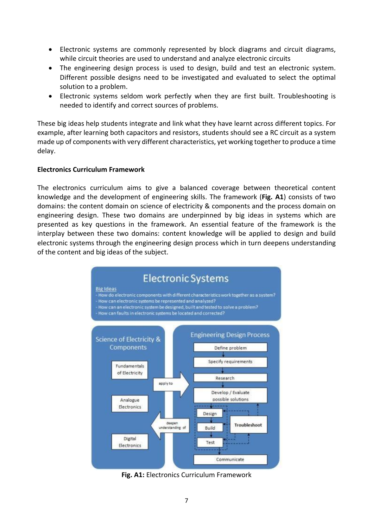- Electronic systems are commonly represented by block diagrams and circuit diagrams, while circuit theories are used to understand and analyze electronic circuits
- The engineering design process is used to design, build and test an electronic system. Different possible designs need to be investigated and evaluated to select the optimal solution to a problem.
- Electronic systems seldom work perfectly when they are first built. Troubleshooting is needed to identify and correct sources of problems.

These big ideas help students integrate and link what they have learnt across different topics. For example, after learning both capacitors and resistors, students should see a RC circuit as a system made up of components with very different characteristics, yet working together to produce a time delay.

### **Electronics Curriculum Framework**

The electronics curriculum aims to give a balanced coverage between theoretical content knowledge and the development of engineering skills. The framework (**Fig. A1**) consists of two domains: the content domain on science of electricity & components and the process domain on engineering design. These two domains are underpinned by big ideas in systems which are presented as key questions in the framework. An essential feature of the framework is the interplay between these two domains: content knowledge will be applied to design and build electronic systems through the engineering design process which in turn deepens understanding of the content and big ideas of the subject.



**Fig. A1:** Electronics Curriculum Framework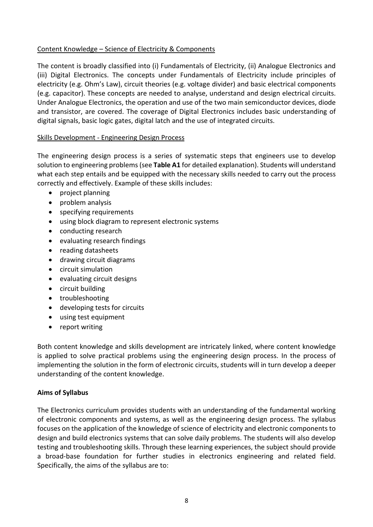### Content Knowledge – Science of Electricity & Components

The content is broadly classified into (i) Fundamentals of Electricity, (ii) Analogue Electronics and (iii) Digital Electronics. The concepts under Fundamentals of Electricity include principles of electricity (e.g. Ohm's Law), circuit theories (e.g. voltage divider) and basic electrical components (e.g. capacitor). These concepts are needed to analyse, understand and design electrical circuits. Under Analogue Electronics, the operation and use of the two main semiconductor devices, diode and transistor, are covered. The coverage of Digital Electronics includes basic understanding of digital signals, basic logic gates, digital latch and the use of integrated circuits.

### Skills Development - Engineering Design Process

The engineering design process is a series of systematic steps that engineers use to develop solution to engineering problems(see **Table A1** for detailed explanation). Students will understand what each step entails and be equipped with the necessary skills needed to carry out the process correctly and effectively. Example of these skills includes:

- project planning
- problem analysis
- specifying requirements
- using block diagram to represent electronic systems
- conducting research
- evaluating research findings
- reading datasheets
- drawing circuit diagrams
- circuit simulation
- evaluating circuit designs
- circuit building
- troubleshooting
- developing tests for circuits
- using test equipment
- report writing

Both content knowledge and skills development are intricately linked, where content knowledge is applied to solve practical problems using the engineering design process. In the process of implementing the solution in the form of electronic circuits, students will in turn develop a deeper understanding of the content knowledge.

### **Aims of Syllabus**

The Electronics curriculum provides students with an understanding of the fundamental working of electronic components and systems, as well as the engineering design process. The syllabus focuses on the application of the knowledge of science of electricity and electronic components to design and build electronics systems that can solve daily problems. The students will also develop testing and troubleshooting skills. Through these learning experiences, the subject should provide a broad-base foundation for further studies in electronics engineering and related field. Specifically, the aims of the syllabus are to: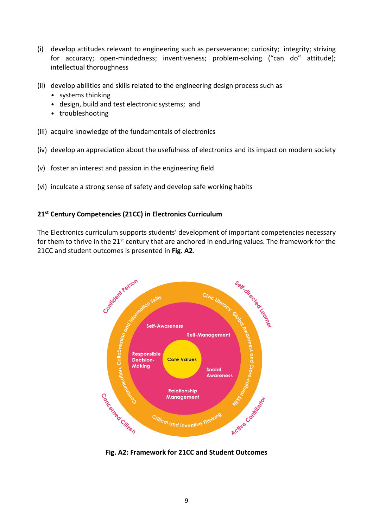- (i) develop attitudes relevant to engineering such as perseverance; curiosity; integrity; striving for accuracy; open-mindedness; inventiveness; problem-solving ("can do" attitude); intellectual thoroughness
- (ii) develop abilities and skills related to the engineering design process such as
	- systems thinking
	- design, build and test electronic systems; and
	- troubleshooting
- (iii) acquire knowledge of the fundamentals of electronics
- (iv) develop an appreciation about the usefulness of electronics and its impact on modern society
- (v) foster an interest and passion in the engineering field
- (vi) inculcate a strong sense of safety and develop safe working habits

### **21st Century Competencies (21CC) in Electronics Curriculum**

The Electronics curriculum supports students' development of important competencies necessary for them to thrive in the 21<sup>st</sup> century that are anchored in enduring values. The framework for the 21CC and student outcomes is presented in **Fig. A2**.



**Fig. A2: Framework for 21CC and Student Outcomes**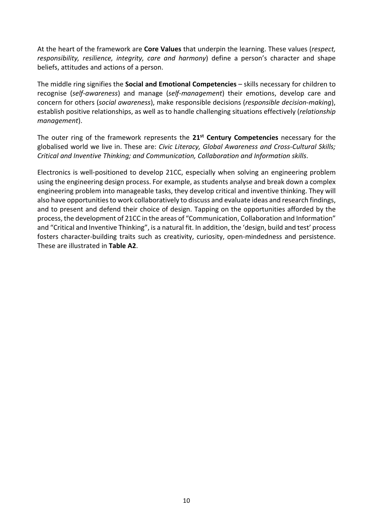At the heart of the framework are **Core Values** that underpin the learning. These values (*respect, responsibility, resilience, integrity, care and harmony*) define a person's character and shape beliefs, attitudes and actions of a person.

The middle ring signifies the **Social and Emotional Competencies** – skills necessary for children to recognise (*self-awareness*) and manage (*self-management*) their emotions, develop care and concern for others (*social awareness*), make responsible decisions (*responsible decision-making*), establish positive relationships, as well as to handle challenging situations effectively (*relationship management*).

The outer ring of the framework represents the **21st Century Competencies** necessary for the globalised world we live in. These are: *Civic Literacy, Global Awareness and Cross-Cultural Skills; Critical and Inventive Thinking; and Communication, Collaboration and Information skills*.

Electronics is well-positioned to develop 21CC, especially when solving an engineering problem using the engineering design process. For example, as students analyse and break down a complex engineering problem into manageable tasks, they develop critical and inventive thinking. They will also have opportunities to work collaboratively to discuss and evaluate ideas and research findings, and to present and defend their choice of design. Tapping on the opportunities afforded by the process, the development of 21CC in the areas of "Communication, Collaboration and Information" and "Critical and Inventive Thinking", is a natural fit. In addition, the 'design, build and test' process fosters character-building traits such as creativity, curiosity, open-mindedness and persistence. These are illustrated in **Table A2**.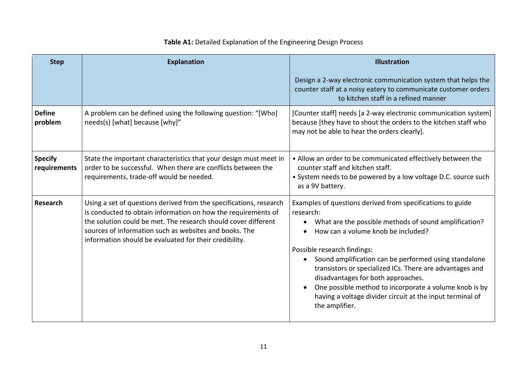| <b>Step</b>                    | <b>Explanation</b>                                                                                                                                                                                                                                                                                                        | <b>Illustration</b>                                                                                                                                                                                                                                                                                                                                                                                                                                                                                                    |
|--------------------------------|---------------------------------------------------------------------------------------------------------------------------------------------------------------------------------------------------------------------------------------------------------------------------------------------------------------------------|------------------------------------------------------------------------------------------------------------------------------------------------------------------------------------------------------------------------------------------------------------------------------------------------------------------------------------------------------------------------------------------------------------------------------------------------------------------------------------------------------------------------|
|                                |                                                                                                                                                                                                                                                                                                                           | Design a 2-way electronic communication system that helps the<br>counter staff at a noisy eatery to communicate customer orders<br>to kitchen staff in a refined manner                                                                                                                                                                                                                                                                                                                                                |
| <b>Define</b><br>problem       | A problem can be defined using the following question: "[Who]<br>needs(s) [what] because [why]"                                                                                                                                                                                                                           | [Counter staff] needs [a 2-way electronic communication system]<br>because [they have to shout the orders to the kitchen staff who<br>may not be able to hear the orders clearly].                                                                                                                                                                                                                                                                                                                                     |
| <b>Specify</b><br>requirements | State the important characteristics that your design must meet in<br>order to be successful. When there are conflicts between the<br>requirements, trade-off would be needed.                                                                                                                                             | • Allow an order to be communicated effectively between the<br>counter staff and kitchen staff.<br>• System needs to be powered by a low voltage D.C. source such<br>as a 9V battery.                                                                                                                                                                                                                                                                                                                                  |
| Research                       | Using a set of questions derived from the specifications, research<br>is conducted to obtain information on how the requirements of<br>the solution could be met. The research should cover different<br>sources of information such as websites and books. The<br>information should be evaluated for their credibility. | Examples of questions derived from specifications to guide<br>research:<br>What are the possible methods of sound amplification?<br>How can a volume knob be included?<br>Possible research findings:<br>Sound amplification can be performed using standalone<br>$\bullet$<br>transistors or specialized ICs. There are advantages and<br>disadvantages for both approaches.<br>One possible method to incorporate a volume knob is by<br>having a voltage divider circuit at the input terminal of<br>the amplifier. |

### **Table A1:** Detailed Explanation of the Engineering Design Process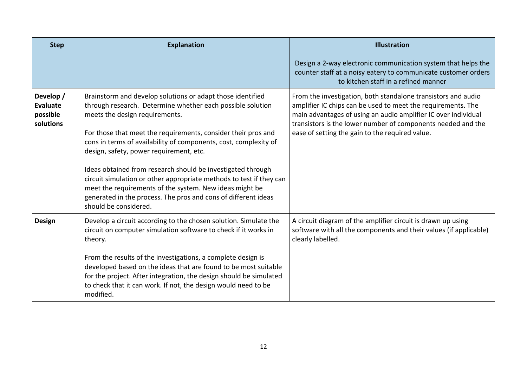| <b>Step</b>                                           | <b>Explanation</b>                                                                                                                                                                                                                                                                                                                                                                                                                                                                                                                                                                                                                     | <b>Illustration</b>                                                                                                                                                                                                                                                                                                |
|-------------------------------------------------------|----------------------------------------------------------------------------------------------------------------------------------------------------------------------------------------------------------------------------------------------------------------------------------------------------------------------------------------------------------------------------------------------------------------------------------------------------------------------------------------------------------------------------------------------------------------------------------------------------------------------------------------|--------------------------------------------------------------------------------------------------------------------------------------------------------------------------------------------------------------------------------------------------------------------------------------------------------------------|
|                                                       |                                                                                                                                                                                                                                                                                                                                                                                                                                                                                                                                                                                                                                        | Design a 2-way electronic communication system that helps the<br>counter staff at a noisy eatery to communicate customer orders<br>to kitchen staff in a refined manner                                                                                                                                            |
| Develop /<br><b>Evaluate</b><br>possible<br>solutions | Brainstorm and develop solutions or adapt those identified<br>through research. Determine whether each possible solution<br>meets the design requirements.<br>For those that meet the requirements, consider their pros and<br>cons in terms of availability of components, cost, complexity of<br>design, safety, power requirement, etc.<br>Ideas obtained from research should be investigated through<br>circuit simulation or other appropriate methods to test if they can<br>meet the requirements of the system. New ideas might be<br>generated in the process. The pros and cons of different ideas<br>should be considered. | From the investigation, both standalone transistors and audio<br>amplifier IC chips can be used to meet the requirements. The<br>main advantages of using an audio amplifier IC over individual<br>transistors is the lower number of components needed and the<br>ease of setting the gain to the required value. |
| Design                                                | Develop a circuit according to the chosen solution. Simulate the<br>circuit on computer simulation software to check if it works in<br>theory.<br>From the results of the investigations, a complete design is<br>developed based on the ideas that are found to be most suitable<br>for the project. After integration, the design should be simulated<br>to check that it can work. If not, the design would need to be<br>modified.                                                                                                                                                                                                 | A circuit diagram of the amplifier circuit is drawn up using<br>software with all the components and their values (if applicable)<br>clearly labelled.                                                                                                                                                             |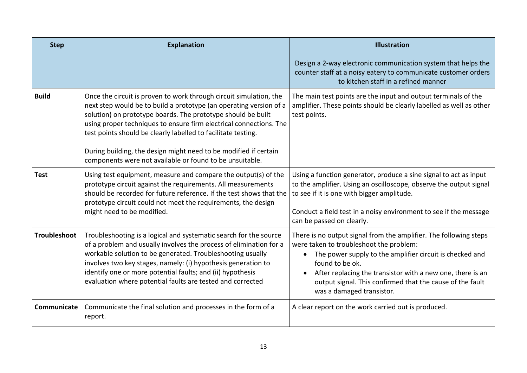| <b>Step</b>         | <b>Explanation</b>                                                                                                                                                                                                                                                                                                                                                                                                                                                              | <b>Illustration</b>                                                                                                                                                                                                                                                                                                                                 |
|---------------------|---------------------------------------------------------------------------------------------------------------------------------------------------------------------------------------------------------------------------------------------------------------------------------------------------------------------------------------------------------------------------------------------------------------------------------------------------------------------------------|-----------------------------------------------------------------------------------------------------------------------------------------------------------------------------------------------------------------------------------------------------------------------------------------------------------------------------------------------------|
|                     |                                                                                                                                                                                                                                                                                                                                                                                                                                                                                 | Design a 2-way electronic communication system that helps the<br>counter staff at a noisy eatery to communicate customer orders<br>to kitchen staff in a refined manner                                                                                                                                                                             |
| <b>Build</b>        | Once the circuit is proven to work through circuit simulation, the<br>next step would be to build a prototype (an operating version of a<br>solution) on prototype boards. The prototype should be built<br>using proper techniques to ensure firm electrical connections. The<br>test points should be clearly labelled to facilitate testing.<br>During building, the design might need to be modified if certain<br>components were not available or found to be unsuitable. | The main test points are the input and output terminals of the<br>amplifier. These points should be clearly labelled as well as other<br>test points.                                                                                                                                                                                               |
| <b>Test</b>         | Using test equipment, measure and compare the output(s) of the<br>prototype circuit against the requirements. All measurements<br>should be recorded for future reference. If the test shows that the<br>prototype circuit could not meet the requirements, the design<br>might need to be modified.                                                                                                                                                                            | Using a function generator, produce a sine signal to act as input<br>to the amplifier. Using an oscilloscope, observe the output signal<br>to see if it is one with bigger amplitude.<br>Conduct a field test in a noisy environment to see if the message<br>can be passed on clearly.                                                             |
| <b>Troubleshoot</b> | Troubleshooting is a logical and systematic search for the source<br>of a problem and usually involves the process of elimination for a<br>workable solution to be generated. Troubleshooting usually<br>involves two key stages, namely: (i) hypothesis generation to<br>identify one or more potential faults; and (ii) hypothesis<br>evaluation where potential faults are tested and corrected                                                                              | There is no output signal from the amplifier. The following steps<br>were taken to troubleshoot the problem:<br>The power supply to the amplifier circuit is checked and<br>found to be ok.<br>After replacing the transistor with a new one, there is an<br>output signal. This confirmed that the cause of the fault<br>was a damaged transistor. |
| Communicate         | Communicate the final solution and processes in the form of a<br>report.                                                                                                                                                                                                                                                                                                                                                                                                        | A clear report on the work carried out is produced.                                                                                                                                                                                                                                                                                                 |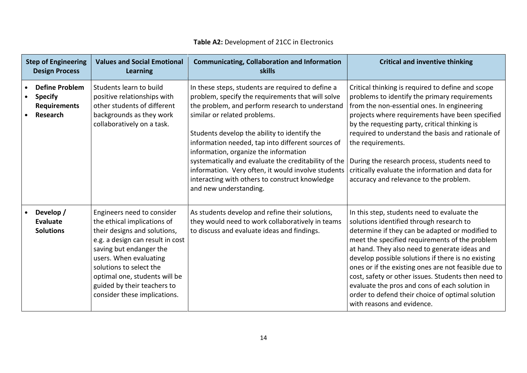| <b>Step of Engineering</b><br><b>Design Process</b>                               | <b>Values and Social Emotional</b><br><b>Learning</b>                                                                                                                                                                                                                                                         | <b>Communicating, Collaboration and Information</b><br>skills                                                                                                                                                                                                                                                                                                                                                                                                                                                                     | <b>Critical and inventive thinking</b>                                                                                                                                                                                                                                                                                                                                                                                                                                                                                                                 |
|-----------------------------------------------------------------------------------|---------------------------------------------------------------------------------------------------------------------------------------------------------------------------------------------------------------------------------------------------------------------------------------------------------------|-----------------------------------------------------------------------------------------------------------------------------------------------------------------------------------------------------------------------------------------------------------------------------------------------------------------------------------------------------------------------------------------------------------------------------------------------------------------------------------------------------------------------------------|--------------------------------------------------------------------------------------------------------------------------------------------------------------------------------------------------------------------------------------------------------------------------------------------------------------------------------------------------------------------------------------------------------------------------------------------------------------------------------------------------------------------------------------------------------|
| <b>Define Problem</b><br><b>Specify</b><br><b>Requirements</b><br><b>Research</b> | Students learn to build<br>positive relationships with<br>other students of different<br>backgrounds as they work<br>collaboratively on a task.                                                                                                                                                               | In these steps, students are required to define a<br>problem, specify the requirements that will solve<br>the problem, and perform research to understand<br>similar or related problems.<br>Students develop the ability to identify the<br>information needed, tap into different sources of<br>information, organize the information<br>systematically and evaluate the creditability of the<br>information. Very often, it would involve students<br>interacting with others to construct knowledge<br>and new understanding. | Critical thinking is required to define and scope<br>problems to identify the primary requirements<br>from the non-essential ones. In engineering<br>projects where requirements have been specified<br>by the requesting party, critical thinking is<br>required to understand the basis and rationale of<br>the requirements.<br>During the research process, students need to<br>critically evaluate the information and data for<br>accuracy and relevance to the problem.                                                                         |
| Develop /<br><b>Evaluate</b><br><b>Solutions</b>                                  | Engineers need to consider<br>the ethical implications of<br>their designs and solutions,<br>e.g. a design can result in cost<br>saving but endanger the<br>users. When evaluating<br>solutions to select the<br>optimal one, students will be<br>guided by their teachers to<br>consider these implications. | As students develop and refine their solutions,<br>they would need to work collaboratively in teams<br>to discuss and evaluate ideas and findings.                                                                                                                                                                                                                                                                                                                                                                                | In this step, students need to evaluate the<br>solutions identified through research to<br>determine if they can be adapted or modified to<br>meet the specified requirements of the problem<br>at hand. They also need to generate ideas and<br>develop possible solutions if there is no existing<br>ones or if the existing ones are not feasible due to<br>cost, safety or other issues. Students then need to<br>evaluate the pros and cons of each solution in<br>order to defend their choice of optimal solution<br>with reasons and evidence. |

### **Table A2:** Development of 21CC in Electronics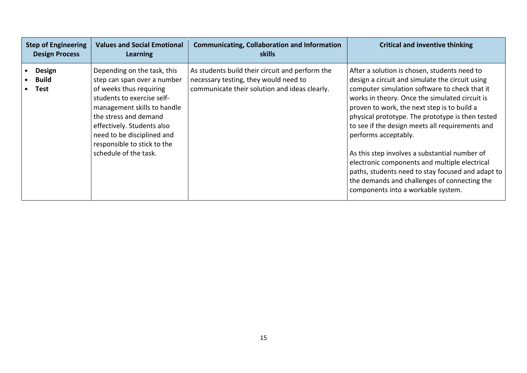| <b>Step of Engineering</b>                   | <b>Values and Social Emotional</b>                                                                                                                                                                                                                                                              | <b>Communicating, Collaboration and Information</b>                                                                                       | <b>Critical and inventive thinking</b>                                                                                                                                                                                                                                                                                                                                                                                                                                                                                                                                                                                        |
|----------------------------------------------|-------------------------------------------------------------------------------------------------------------------------------------------------------------------------------------------------------------------------------------------------------------------------------------------------|-------------------------------------------------------------------------------------------------------------------------------------------|-------------------------------------------------------------------------------------------------------------------------------------------------------------------------------------------------------------------------------------------------------------------------------------------------------------------------------------------------------------------------------------------------------------------------------------------------------------------------------------------------------------------------------------------------------------------------------------------------------------------------------|
| <b>Design Process</b>                        | <b>Learning</b>                                                                                                                                                                                                                                                                                 | <b>skills</b>                                                                                                                             |                                                                                                                                                                                                                                                                                                                                                                                                                                                                                                                                                                                                                               |
| <b>Design</b><br><b>Build</b><br><b>Test</b> | Depending on the task, this<br>step can span over a number<br>of weeks thus requiring<br>students to exercise self-<br>management skills to handle<br>the stress and demand<br>effectively. Students also<br>need to be disciplined and<br>responsible to stick to the<br>schedule of the task. | As students build their circuit and perform the<br>necessary testing, they would need to<br>communicate their solution and ideas clearly. | After a solution is chosen, students need to<br>design a circuit and simulate the circuit using<br>computer simulation software to check that it<br>works in theory. Once the simulated circuit is<br>proven to work, the next step is to build a<br>physical prototype. The prototype is then tested<br>to see if the design meets all requirements and<br>performs acceptably.<br>As this step involves a substantial number of<br>electronic components and multiple electrical<br>paths, students need to stay focused and adapt to<br>the demands and challenges of connecting the<br>components into a workable system. |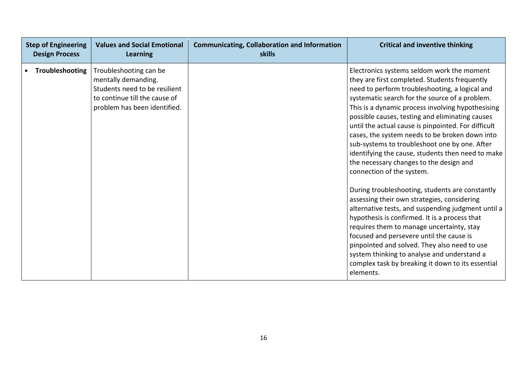| <b>Step of Engineering</b> | <b>Values and Social Emotional</b>                                                                                                              | <b>Communicating, Collaboration and Information</b> | <b>Critical and inventive thinking</b>                                                                                                                                                                                                                                                                                                                                                                                                                                                                                                                                                                                                                                                                                                                                                                                                                                                                                                                                                                                                                            |
|----------------------------|-------------------------------------------------------------------------------------------------------------------------------------------------|-----------------------------------------------------|-------------------------------------------------------------------------------------------------------------------------------------------------------------------------------------------------------------------------------------------------------------------------------------------------------------------------------------------------------------------------------------------------------------------------------------------------------------------------------------------------------------------------------------------------------------------------------------------------------------------------------------------------------------------------------------------------------------------------------------------------------------------------------------------------------------------------------------------------------------------------------------------------------------------------------------------------------------------------------------------------------------------------------------------------------------------|
| <b>Design Process</b>      | Learning                                                                                                                                        | <b>skills</b>                                       |                                                                                                                                                                                                                                                                                                                                                                                                                                                                                                                                                                                                                                                                                                                                                                                                                                                                                                                                                                                                                                                                   |
| Troubleshooting            | Troubleshooting can be<br>mentally demanding.<br>Students need to be resilient<br>to continue till the cause of<br>problem has been identified. |                                                     | Electronics systems seldom work the moment<br>they are first completed. Students frequently<br>need to perform troubleshooting, a logical and<br>systematic search for the source of a problem.<br>This is a dynamic process involving hypothesising<br>possible causes, testing and eliminating causes<br>until the actual cause is pinpointed. For difficult<br>cases, the system needs to be broken down into<br>sub-systems to troubleshoot one by one. After<br>identifying the cause, students then need to make<br>the necessary changes to the design and<br>connection of the system.<br>During troubleshooting, students are constantly<br>assessing their own strategies, considering<br>alternative tests, and suspending judgment until a<br>hypothesis is confirmed. It is a process that<br>requires them to manage uncertainty, stay<br>focused and persevere until the cause is<br>pinpointed and solved. They also need to use<br>system thinking to analyse and understand a<br>complex task by breaking it down to its essential<br>elements. |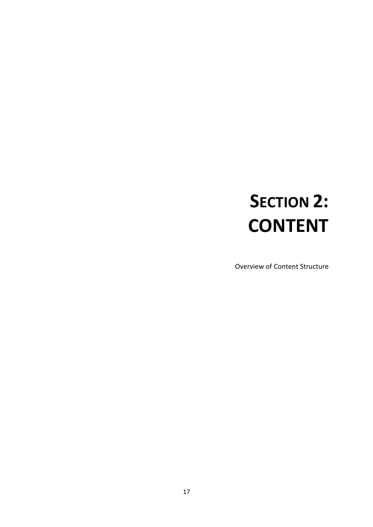# **SECTION 2: CONTENT**

Overview of Content Structure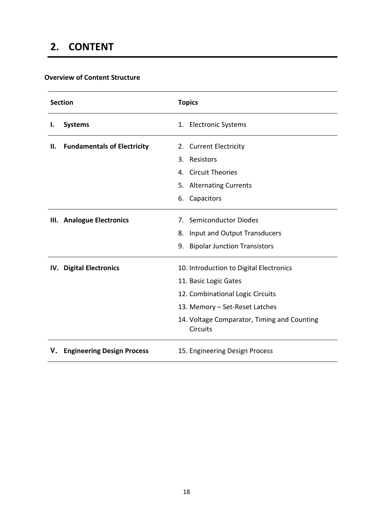# **2. CONTENT**

#### **Overview of Content Structure**

|    | <b>Section</b><br><b>Topics</b>    |                                                                |
|----|------------------------------------|----------------------------------------------------------------|
| ι. | <b>Systems</b>                     | 1. Electronic Systems                                          |
| Н. | <b>Fundamentals of Electricity</b> | <b>Current Electricity</b><br>2.                               |
|    |                                    | 3.<br>Resistors                                                |
|    |                                    | <b>Circuit Theories</b><br>4.                                  |
|    |                                    | <b>Alternating Currents</b><br>5.                              |
|    |                                    | Capacitors<br>6.                                               |
|    | III. Analogue Electronics          | <b>Semiconductor Diodes</b><br>7.                              |
|    |                                    | 8.<br>Input and Output Transducers                             |
|    |                                    | <b>Bipolar Junction Transistors</b><br>9.                      |
|    | <b>IV.</b> Digital Electronics     | 10. Introduction to Digital Electronics                        |
|    |                                    | 11. Basic Logic Gates                                          |
|    |                                    | 12. Combinational Logic Circuits                               |
|    |                                    | 13. Memory - Set-Reset Latches                                 |
|    |                                    | 14. Voltage Comparator, Timing and Counting<br><b>Circuits</b> |
| V. | <b>Engineering Design Process</b>  | 15. Engineering Design Process                                 |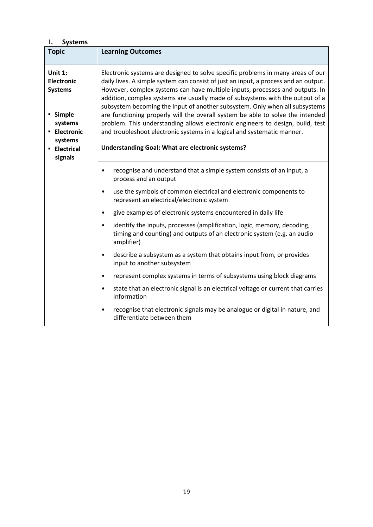### **I. Systems**

| <b>Topic</b>                                                                                                                               | <b>Learning Outcomes</b>                                                                                                                                                                                                                                                                                                                                                                                                                                                                                                                                                                                                                                                                                                         |
|--------------------------------------------------------------------------------------------------------------------------------------------|----------------------------------------------------------------------------------------------------------------------------------------------------------------------------------------------------------------------------------------------------------------------------------------------------------------------------------------------------------------------------------------------------------------------------------------------------------------------------------------------------------------------------------------------------------------------------------------------------------------------------------------------------------------------------------------------------------------------------------|
| Unit 1:<br><b>Electronic</b><br><b>Systems</b><br><b>Simple</b><br>systems<br><b>Electronic</b><br>systems<br><b>Electrical</b><br>signals | Electronic systems are designed to solve specific problems in many areas of our<br>daily lives. A simple system can consist of just an input, a process and an output.<br>However, complex systems can have multiple inputs, processes and outputs. In<br>addition, complex systems are usually made of subsystems with the output of a<br>subsystem becoming the input of another subsystem. Only when all subsystems<br>are functioning properly will the overall system be able to solve the intended<br>problem. This understanding allows electronic engineers to design, build, test<br>and troubleshoot electronic systems in a logical and systematic manner.<br><b>Understanding Goal: What are electronic systems?</b> |
|                                                                                                                                            | recognise and understand that a simple system consists of an input, a<br>process and an output                                                                                                                                                                                                                                                                                                                                                                                                                                                                                                                                                                                                                                   |
|                                                                                                                                            | use the symbols of common electrical and electronic components to<br>represent an electrical/electronic system                                                                                                                                                                                                                                                                                                                                                                                                                                                                                                                                                                                                                   |
|                                                                                                                                            | give examples of electronic systems encountered in daily life<br>٠                                                                                                                                                                                                                                                                                                                                                                                                                                                                                                                                                                                                                                                               |
|                                                                                                                                            | identify the inputs, processes (amplification, logic, memory, decoding,<br>timing and counting) and outputs of an electronic system (e.g. an audio<br>amplifier)                                                                                                                                                                                                                                                                                                                                                                                                                                                                                                                                                                 |
|                                                                                                                                            | describe a subsystem as a system that obtains input from, or provides<br>input to another subsystem                                                                                                                                                                                                                                                                                                                                                                                                                                                                                                                                                                                                                              |
|                                                                                                                                            | represent complex systems in terms of subsystems using block diagrams<br>٠                                                                                                                                                                                                                                                                                                                                                                                                                                                                                                                                                                                                                                                       |
|                                                                                                                                            | state that an electronic signal is an electrical voltage or current that carries<br>information                                                                                                                                                                                                                                                                                                                                                                                                                                                                                                                                                                                                                                  |
|                                                                                                                                            | recognise that electronic signals may be analogue or digital in nature, and<br>$\bullet$<br>differentiate between them                                                                                                                                                                                                                                                                                                                                                                                                                                                                                                                                                                                                           |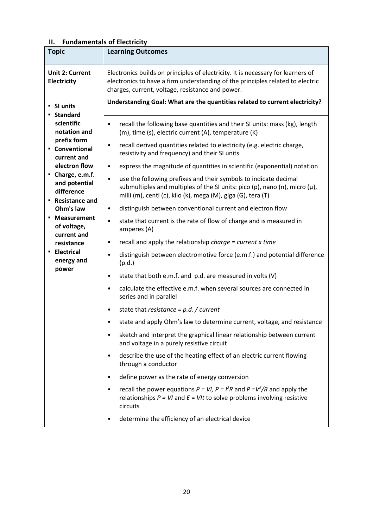### **II. Fundamentals of Electricity**

| <b>Topic</b>                                                           | <b>Learning Outcomes</b>                                                                                                                                                                                                          |
|------------------------------------------------------------------------|-----------------------------------------------------------------------------------------------------------------------------------------------------------------------------------------------------------------------------------|
| <b>Unit 2: Current</b><br>Electricity                                  | Electronics builds on principles of electricity. It is necessary for learners of<br>electronics to have a firm understanding of the principles related to electric<br>charges, current, voltage, resistance and power.            |
| SI units                                                               | Understanding Goal: What are the quantities related to current electricity?                                                                                                                                                       |
| • Standard<br>scientific<br>notation and                               | recall the following base quantities and their SI units: mass (kg), length<br>٠<br>(m), time (s), electric current (A), temperature (K)                                                                                           |
| prefix form<br>• Conventional<br>current and                           | recall derived quantities related to electricity (e.g. electric charge,<br>٠<br>resistivity and frequency) and their SI units                                                                                                     |
| electron flow                                                          | express the magnitude of quantities in scientific (exponential) notation                                                                                                                                                          |
| Charge, e.m.f.<br>and potential<br>difference<br><b>Resistance and</b> | use the following prefixes and their symbols to indicate decimal<br>$\bullet$<br>submultiples and multiples of the SI units: pico (p), nano (n), micro ( $\mu$ ),<br>milli (m), centi (c), kilo (k), mega (M), giga (G), tera (T) |
| Ohm's law                                                              | distinguish between conventional current and electron flow<br>$\bullet$                                                                                                                                                           |
| <b>Measurement</b><br>of voltage,<br>current and                       | state that current is the rate of flow of charge and is measured in<br>$\bullet$<br>amperes (A)                                                                                                                                   |
| resistance                                                             | recall and apply the relationship charge = current x time<br>$\bullet$                                                                                                                                                            |
| <b>Electrical</b><br>energy and                                        | distinguish between electromotive force (e.m.f.) and potential difference<br>$\bullet$<br>(p.d.)                                                                                                                                  |
| power                                                                  | state that both e.m.f. and p.d. are measured in volts (V)<br>٠                                                                                                                                                                    |
|                                                                        | calculate the effective e.m.f. when several sources are connected in<br>$\bullet$<br>series and in parallel                                                                                                                       |
|                                                                        | state that resistance = $p.d. / current$                                                                                                                                                                                          |
|                                                                        | state and apply Ohm's law to determine current, voltage, and resistance                                                                                                                                                           |
|                                                                        | sketch and interpret the graphical linear relationship between current<br>and voltage in a purely resistive circuit                                                                                                               |
|                                                                        | describe the use of the heating effect of an electric current flowing<br>through a conductor                                                                                                                                      |
|                                                                        | define power as the rate of energy conversion                                                                                                                                                                                     |
|                                                                        | recall the power equations $P = VI$ , $P = I^2R$ and $P = V^2/R$ and apply the<br>٠<br>relationships $P = VI$ and $E = V/t$ to solve problems involving resistive<br>circuits                                                     |
|                                                                        | determine the efficiency of an electrical device                                                                                                                                                                                  |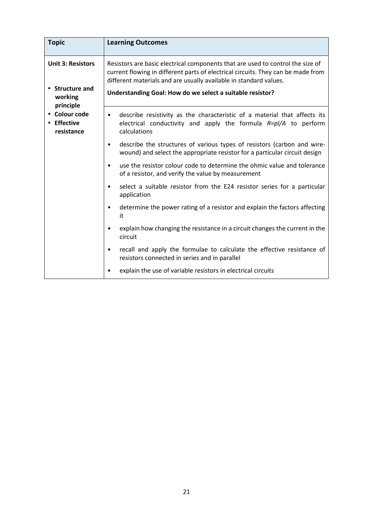| <b>Topic</b>                                    | <b>Learning Outcomes</b>                                                                                                                                                                                                                |
|-------------------------------------------------|-----------------------------------------------------------------------------------------------------------------------------------------------------------------------------------------------------------------------------------------|
| <b>Unit 3: Resistors</b>                        | Resistors are basic electrical components that are used to control the size of<br>current flowing in different parts of electrical circuits. They can be made from<br>different materials and are usually available in standard values. |
| <b>Structure and</b><br>working<br>principle    | Understanding Goal: How do we select a suitable resistor?                                                                                                                                                                               |
| • Colour code<br><b>Effective</b><br>resistance | describe resistivity as the characteristic of a material that affects its<br>٠<br>electrical conductivity and apply the formula $R=pI/A$ to perform<br>calculations                                                                     |
|                                                 | describe the structures of various types of resistors (carbon and wire-<br>wound) and select the appropriate resistor for a particular circuit design                                                                                   |
|                                                 | use the resistor colour code to determine the ohmic value and tolerance<br>of a resistor, and verify the value by measurement                                                                                                           |
|                                                 | select a suitable resistor from the E24 resistor series for a particular<br>application                                                                                                                                                 |
|                                                 | determine the power rating of a resistor and explain the factors affecting<br>it                                                                                                                                                        |
|                                                 | explain how changing the resistance in a circuit changes the current in the<br>circuit                                                                                                                                                  |
|                                                 | recall and apply the formulae to calculate the effective resistance of<br>٠<br>resistors connected in series and in parallel                                                                                                            |
|                                                 | explain the use of variable resistors in electrical circuits                                                                                                                                                                            |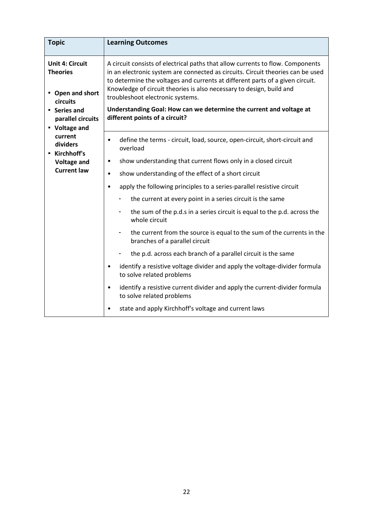| <b>Topic</b>                                | <b>Learning Outcomes</b>                                                                                                                                                                                                                                                                                                   |
|---------------------------------------------|----------------------------------------------------------------------------------------------------------------------------------------------------------------------------------------------------------------------------------------------------------------------------------------------------------------------------|
| <b>Unit 4: Circuit</b><br><b>Theories</b>   | A circuit consists of electrical paths that allow currents to flow. Components<br>in an electronic system are connected as circuits. Circuit theories can be used<br>to determine the voltages and currents at different parts of a given circuit.<br>Knowledge of circuit theories is also necessary to design, build and |
| • Open and short<br>circuits                | troubleshoot electronic systems.                                                                                                                                                                                                                                                                                           |
| • Series and<br>parallel circuits           | Understanding Goal: How can we determine the current and voltage at<br>different points of a circuit?                                                                                                                                                                                                                      |
| • Voltage and                               |                                                                                                                                                                                                                                                                                                                            |
| current<br>dividers<br><b>E</b> Kirchhoff's | define the terms - circuit, load, source, open-circuit, short-circuit and<br>٠<br>overload                                                                                                                                                                                                                                 |
| <b>Voltage and</b>                          | show understanding that current flows only in a closed circuit<br>$\bullet$                                                                                                                                                                                                                                                |
| <b>Current law</b>                          | show understanding of the effect of a short circuit<br>$\bullet$                                                                                                                                                                                                                                                           |
|                                             | apply the following principles to a series-parallel resistive circuit                                                                                                                                                                                                                                                      |
|                                             | the current at every point in a series circuit is the same                                                                                                                                                                                                                                                                 |
|                                             | the sum of the p.d.s in a series circuit is equal to the p.d. across the<br>$\overline{\phantom{a}}$<br>whole circuit                                                                                                                                                                                                      |
|                                             | the current from the source is equal to the sum of the currents in the<br>$\blacksquare$<br>branches of a parallel circuit                                                                                                                                                                                                 |
|                                             | the p.d. across each branch of a parallel circuit is the same                                                                                                                                                                                                                                                              |
|                                             | identify a resistive voltage divider and apply the voltage-divider formula<br>$\bullet$<br>to solve related problems                                                                                                                                                                                                       |
|                                             | identify a resistive current divider and apply the current-divider formula<br>$\bullet$<br>to solve related problems                                                                                                                                                                                                       |
|                                             | state and apply Kirchhoff's voltage and current laws                                                                                                                                                                                                                                                                       |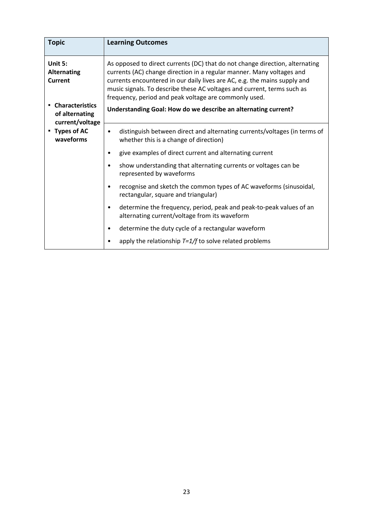| <b>Topic</b>                                                                | <b>Learning Outcomes</b>                                                                                                                                                                                                                                                                                                                                                                                                                 |  |  |  |  |
|-----------------------------------------------------------------------------|------------------------------------------------------------------------------------------------------------------------------------------------------------------------------------------------------------------------------------------------------------------------------------------------------------------------------------------------------------------------------------------------------------------------------------------|--|--|--|--|
| Unit $5:$<br><b>Alternating</b><br><b>Current</b><br><b>Characteristics</b> | As opposed to direct currents (DC) that do not change direction, alternating<br>currents (AC) change direction in a regular manner. Many voltages and<br>currents encountered in our daily lives are AC, e.g. the mains supply and<br>music signals. To describe these AC voltages and current, terms such as<br>frequency, period and peak voltage are commonly used.<br>Understanding Goal: How do we describe an alternating current? |  |  |  |  |
| of alternating<br>current/voltage                                           |                                                                                                                                                                                                                                                                                                                                                                                                                                          |  |  |  |  |
| • Types of AC<br>waveforms                                                  | distinguish between direct and alternating currents/voltages (in terms of<br>$\bullet$<br>whether this is a change of direction)                                                                                                                                                                                                                                                                                                         |  |  |  |  |
|                                                                             | give examples of direct current and alternating current                                                                                                                                                                                                                                                                                                                                                                                  |  |  |  |  |
|                                                                             | show understanding that alternating currents or voltages can be<br>represented by waveforms                                                                                                                                                                                                                                                                                                                                              |  |  |  |  |
|                                                                             | recognise and sketch the common types of AC waveforms (sinusoidal,<br>rectangular, square and triangular)                                                                                                                                                                                                                                                                                                                                |  |  |  |  |
|                                                                             | determine the frequency, period, peak and peak-to-peak values of an<br>alternating current/voltage from its waveform                                                                                                                                                                                                                                                                                                                     |  |  |  |  |
|                                                                             | determine the duty cycle of a rectangular waveform                                                                                                                                                                                                                                                                                                                                                                                       |  |  |  |  |
|                                                                             | apply the relationship $T=1/f$ to solve related problems                                                                                                                                                                                                                                                                                                                                                                                 |  |  |  |  |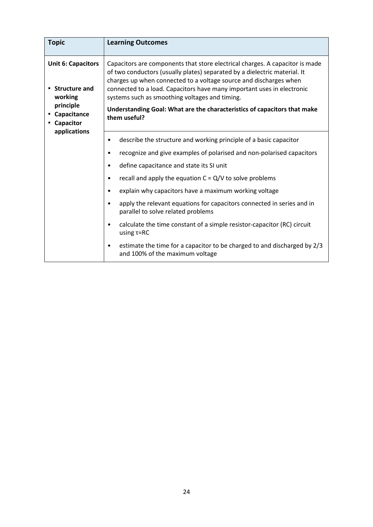| <b>Topic</b>                                                                                                              | <b>Learning Outcomes</b>                                                                                                                                                                                                                                                                                                                                                                                                                                                                                                                                                                                                                                                 |  |  |  |  |
|---------------------------------------------------------------------------------------------------------------------------|--------------------------------------------------------------------------------------------------------------------------------------------------------------------------------------------------------------------------------------------------------------------------------------------------------------------------------------------------------------------------------------------------------------------------------------------------------------------------------------------------------------------------------------------------------------------------------------------------------------------------------------------------------------------------|--|--|--|--|
| <b>Unit 6: Capacitors</b><br><b>Structure and</b><br>working<br>principle<br>• Capacitance<br>• Capacitor<br>applications | Capacitors are components that store electrical charges. A capacitor is made<br>of two conductors (usually plates) separated by a dielectric material. It<br>charges up when connected to a voltage source and discharges when<br>connected to a load. Capacitors have many important uses in electronic<br>systems such as smoothing voltages and timing.<br>Understanding Goal: What are the characteristics of capacitors that make<br>them useful?                                                                                                                                                                                                                   |  |  |  |  |
|                                                                                                                           | describe the structure and working principle of a basic capacitor<br>٠<br>recognize and give examples of polarised and non-polarised capacitors<br>٠<br>define capacitance and state its SI unit<br>٠<br>recall and apply the equation $C = Q/V$ to solve problems<br>٠<br>explain why capacitors have a maximum working voltage<br>apply the relevant equations for capacitors connected in series and in<br>parallel to solve related problems<br>calculate the time constant of a simple resistor-capacitor (RC) circuit<br>٠<br>using $\tau$ =RC<br>estimate the time for a capacitor to be charged to and discharged by 2/3<br>٠<br>and 100% of the maximum voltage |  |  |  |  |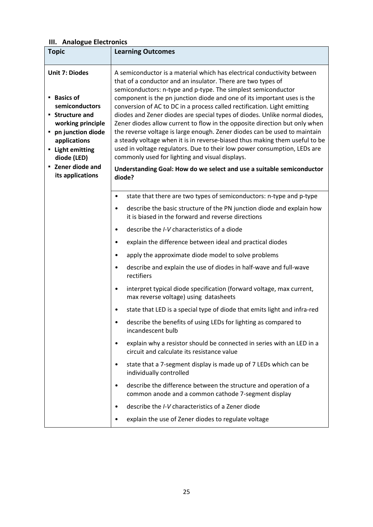## **III. Analogue Electronics**

| <b>Topic</b>                                                                                                                                                                                                                                  | <b>Learning Outcomes</b>                                                                                                                                                                                                                                                                                                                                                                                                                                                                                                                                                                                                                                                                                                                                                                                                                                                                                  |  |  |  |  |  |
|-----------------------------------------------------------------------------------------------------------------------------------------------------------------------------------------------------------------------------------------------|-----------------------------------------------------------------------------------------------------------------------------------------------------------------------------------------------------------------------------------------------------------------------------------------------------------------------------------------------------------------------------------------------------------------------------------------------------------------------------------------------------------------------------------------------------------------------------------------------------------------------------------------------------------------------------------------------------------------------------------------------------------------------------------------------------------------------------------------------------------------------------------------------------------|--|--|--|--|--|
| <b>Unit 7: Diodes</b><br>• Basics of<br>semiconductors<br><b>Structure and</b><br>working principle<br>pn junction diode<br>$\blacksquare$<br>applications<br><b>· Light emitting</b><br>diode (LED)<br>" Zener diode and<br>its applications | A semiconductor is a material which has electrical conductivity between<br>that of a conductor and an insulator. There are two types of<br>semiconductors: n-type and p-type. The simplest semiconductor<br>component is the pn junction diode and one of its important uses is the<br>conversion of AC to DC in a process called rectification. Light emitting<br>diodes and Zener diodes are special types of diodes. Unlike normal diodes,<br>Zener diodes allow current to flow in the opposite direction but only when<br>the reverse voltage is large enough. Zener diodes can be used to maintain<br>a steady voltage when it is in reverse-biased thus making them useful to be<br>used in voltage regulators. Due to their low power consumption, LEDs are<br>commonly used for lighting and visual displays.<br>Understanding Goal: How do we select and use a suitable semiconductor<br>diode? |  |  |  |  |  |
|                                                                                                                                                                                                                                               | state that there are two types of semiconductors: n-type and p-type<br>$\bullet$                                                                                                                                                                                                                                                                                                                                                                                                                                                                                                                                                                                                                                                                                                                                                                                                                          |  |  |  |  |  |
|                                                                                                                                                                                                                                               | describe the basic structure of the PN junction diode and explain how<br>$\bullet$<br>it is biased in the forward and reverse directions                                                                                                                                                                                                                                                                                                                                                                                                                                                                                                                                                                                                                                                                                                                                                                  |  |  |  |  |  |
|                                                                                                                                                                                                                                               | describe the I-V characteristics of a diode<br>$\bullet$                                                                                                                                                                                                                                                                                                                                                                                                                                                                                                                                                                                                                                                                                                                                                                                                                                                  |  |  |  |  |  |
|                                                                                                                                                                                                                                               | explain the difference between ideal and practical diodes                                                                                                                                                                                                                                                                                                                                                                                                                                                                                                                                                                                                                                                                                                                                                                                                                                                 |  |  |  |  |  |
|                                                                                                                                                                                                                                               | apply the approximate diode model to solve problems<br>$\bullet$                                                                                                                                                                                                                                                                                                                                                                                                                                                                                                                                                                                                                                                                                                                                                                                                                                          |  |  |  |  |  |
|                                                                                                                                                                                                                                               | describe and explain the use of diodes in half-wave and full-wave<br>$\bullet$<br>rectifiers                                                                                                                                                                                                                                                                                                                                                                                                                                                                                                                                                                                                                                                                                                                                                                                                              |  |  |  |  |  |
|                                                                                                                                                                                                                                               | interpret typical diode specification (forward voltage, max current,<br>$\bullet$<br>max reverse voltage) using datasheets                                                                                                                                                                                                                                                                                                                                                                                                                                                                                                                                                                                                                                                                                                                                                                                |  |  |  |  |  |
|                                                                                                                                                                                                                                               | state that LED is a special type of diode that emits light and infra-red                                                                                                                                                                                                                                                                                                                                                                                                                                                                                                                                                                                                                                                                                                                                                                                                                                  |  |  |  |  |  |
|                                                                                                                                                                                                                                               | describe the benefits of using LEDs for lighting as compared to<br>incandescent bulb                                                                                                                                                                                                                                                                                                                                                                                                                                                                                                                                                                                                                                                                                                                                                                                                                      |  |  |  |  |  |
|                                                                                                                                                                                                                                               | explain why a resistor should be connected in series with an LED in a<br>$\bullet$<br>circuit and calculate its resistance value                                                                                                                                                                                                                                                                                                                                                                                                                                                                                                                                                                                                                                                                                                                                                                          |  |  |  |  |  |
|                                                                                                                                                                                                                                               | state that a 7-segment display is made up of 7 LEDs which can be<br>$\bullet$<br>individually controlled                                                                                                                                                                                                                                                                                                                                                                                                                                                                                                                                                                                                                                                                                                                                                                                                  |  |  |  |  |  |
|                                                                                                                                                                                                                                               | describe the difference between the structure and operation of a<br>$\bullet$<br>common anode and a common cathode 7-segment display                                                                                                                                                                                                                                                                                                                                                                                                                                                                                                                                                                                                                                                                                                                                                                      |  |  |  |  |  |
|                                                                                                                                                                                                                                               | describe the I-V characteristics of a Zener diode<br>$\bullet$                                                                                                                                                                                                                                                                                                                                                                                                                                                                                                                                                                                                                                                                                                                                                                                                                                            |  |  |  |  |  |
|                                                                                                                                                                                                                                               | explain the use of Zener diodes to regulate voltage                                                                                                                                                                                                                                                                                                                                                                                                                                                                                                                                                                                                                                                                                                                                                                                                                                                       |  |  |  |  |  |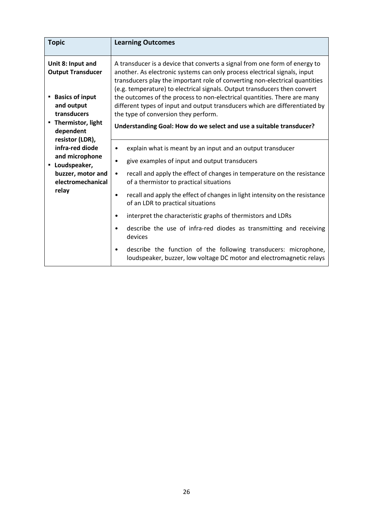| <b>Topic</b>                                                                                                      | <b>Learning Outcomes</b>                                                                                                                                                                                                                                                                                                                                                                                                                                                       |  |  |  |  |
|-------------------------------------------------------------------------------------------------------------------|--------------------------------------------------------------------------------------------------------------------------------------------------------------------------------------------------------------------------------------------------------------------------------------------------------------------------------------------------------------------------------------------------------------------------------------------------------------------------------|--|--|--|--|
| Unit 8: Input and<br><b>Output Transducer</b><br><b>Basics of input</b><br>٠<br>and output                        | A transducer is a device that converts a signal from one form of energy to<br>another. As electronic systems can only process electrical signals, input<br>transducers play the important role of converting non-electrical quantities<br>(e.g. temperature) to electrical signals. Output transducers then convert<br>the outcomes of the process to non-electrical quantities. There are many<br>different types of input and output transducers which are differentiated by |  |  |  |  |
| transducers                                                                                                       | the type of conversion they perform.                                                                                                                                                                                                                                                                                                                                                                                                                                           |  |  |  |  |
| <b>-</b> Thermistor, light<br>dependent<br>resistor (LDR),<br>infra-red diode<br>and microphone<br>· Loudspeaker, | Understanding Goal: How do we select and use a suitable transducer?                                                                                                                                                                                                                                                                                                                                                                                                            |  |  |  |  |
|                                                                                                                   | explain what is meant by an input and an output transducer                                                                                                                                                                                                                                                                                                                                                                                                                     |  |  |  |  |
|                                                                                                                   | give examples of input and output transducers                                                                                                                                                                                                                                                                                                                                                                                                                                  |  |  |  |  |
| buzzer, motor and<br>electromechanical                                                                            | recall and apply the effect of changes in temperature on the resistance<br>$\bullet$<br>of a thermistor to practical situations                                                                                                                                                                                                                                                                                                                                                |  |  |  |  |
| relay                                                                                                             | recall and apply the effect of changes in light intensity on the resistance<br>٠<br>of an LDR to practical situations                                                                                                                                                                                                                                                                                                                                                          |  |  |  |  |
|                                                                                                                   | interpret the characteristic graphs of thermistors and LDRs                                                                                                                                                                                                                                                                                                                                                                                                                    |  |  |  |  |
|                                                                                                                   | describe the use of infra-red diodes as transmitting and receiving<br>devices                                                                                                                                                                                                                                                                                                                                                                                                  |  |  |  |  |
|                                                                                                                   | describe the function of the following transducers: microphone,<br>loudspeaker, buzzer, low voltage DC motor and electromagnetic relays                                                                                                                                                                                                                                                                                                                                        |  |  |  |  |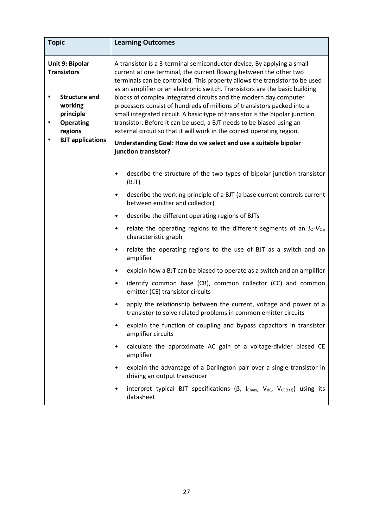| <b>Topic</b>                                                                                                                                         | <b>Learning Outcomes</b>                                                                                                                                                                                                                                                                                                                                                                                                                                                                                                                                                                                                                                                                                                                                        |  |  |  |  |
|------------------------------------------------------------------------------------------------------------------------------------------------------|-----------------------------------------------------------------------------------------------------------------------------------------------------------------------------------------------------------------------------------------------------------------------------------------------------------------------------------------------------------------------------------------------------------------------------------------------------------------------------------------------------------------------------------------------------------------------------------------------------------------------------------------------------------------------------------------------------------------------------------------------------------------|--|--|--|--|
| Unit 9: Bipolar<br><b>Transistors</b><br><b>Structure and</b><br>working<br>principle<br><b>Operating</b><br>٠<br>regions<br><b>BJT</b> applications | A transistor is a 3-terminal semiconductor device. By applying a small<br>current at one terminal, the current flowing between the other two<br>terminals can be controlled. This property allows the transistor to be used<br>as an amplifier or an electronic switch. Transistors are the basic building<br>blocks of complex integrated circuits and the modern day computer<br>processors consist of hundreds of millions of transistors packed into a<br>small integrated circuit. A basic type of transistor is the bipolar junction<br>transistor. Before it can be used, a BJT needs to be biased using an<br>external circuit so that it will work in the correct operating region.<br>Understanding Goal: How do we select and use a suitable bipolar |  |  |  |  |
|                                                                                                                                                      | junction transistor?                                                                                                                                                                                                                                                                                                                                                                                                                                                                                                                                                                                                                                                                                                                                            |  |  |  |  |
|                                                                                                                                                      | describe the structure of the two types of bipolar junction transistor<br>$\bullet$<br>(BJT)                                                                                                                                                                                                                                                                                                                                                                                                                                                                                                                                                                                                                                                                    |  |  |  |  |
|                                                                                                                                                      | describe the working principle of a BJT (a base current controls current<br>٠<br>between emitter and collector)                                                                                                                                                                                                                                                                                                                                                                                                                                                                                                                                                                                                                                                 |  |  |  |  |
|                                                                                                                                                      | describe the different operating regions of BJTs<br>$\bullet$                                                                                                                                                                                                                                                                                                                                                                                                                                                                                                                                                                                                                                                                                                   |  |  |  |  |
|                                                                                                                                                      | relate the operating regions to the different segments of an $I_c$ -V $c$ =<br>$\bullet$<br>characteristic graph                                                                                                                                                                                                                                                                                                                                                                                                                                                                                                                                                                                                                                                |  |  |  |  |
|                                                                                                                                                      | relate the operating regions to the use of BJT as a switch and an<br>amplifier                                                                                                                                                                                                                                                                                                                                                                                                                                                                                                                                                                                                                                                                                  |  |  |  |  |
|                                                                                                                                                      | explain how a BJT can be biased to operate as a switch and an amplifier<br>٠                                                                                                                                                                                                                                                                                                                                                                                                                                                                                                                                                                                                                                                                                    |  |  |  |  |
|                                                                                                                                                      | identify common base (CB), common collector (CC) and common<br>$\bullet$<br>emitter (CE) transistor circuits                                                                                                                                                                                                                                                                                                                                                                                                                                                                                                                                                                                                                                                    |  |  |  |  |
|                                                                                                                                                      | apply the relationship between the current, voltage and power of a<br>٠<br>transistor to solve related problems in common emitter circuits                                                                                                                                                                                                                                                                                                                                                                                                                                                                                                                                                                                                                      |  |  |  |  |
|                                                                                                                                                      | explain the function of coupling and bypass capacitors in transistor<br>amplifier circuits                                                                                                                                                                                                                                                                                                                                                                                                                                                                                                                                                                                                                                                                      |  |  |  |  |
|                                                                                                                                                      | calculate the approximate AC gain of a voltage-divider biased CE<br>٠<br>amplifier                                                                                                                                                                                                                                                                                                                                                                                                                                                                                                                                                                                                                                                                              |  |  |  |  |
|                                                                                                                                                      | explain the advantage of a Darlington pair over a single transistor in<br>٠<br>driving an output transducer                                                                                                                                                                                                                                                                                                                                                                                                                                                                                                                                                                                                                                                     |  |  |  |  |
|                                                                                                                                                      | interpret typical BJT specifications ( $\beta$ , I <sub>Cmax</sub> , V <sub>BE</sub> , V <sub>CE(sat)</sub> ) using its<br>٠<br>datasheet                                                                                                                                                                                                                                                                                                                                                                                                                                                                                                                                                                                                                       |  |  |  |  |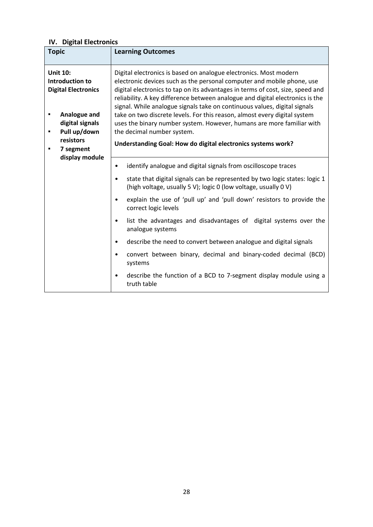## **IV. Digital Electronics**

| <b>Topic</b>                                                            | <b>Learning Outcomes</b>                                                                                                                                                                                                                                                                                                                                                                    |  |  |  |  |
|-------------------------------------------------------------------------|---------------------------------------------------------------------------------------------------------------------------------------------------------------------------------------------------------------------------------------------------------------------------------------------------------------------------------------------------------------------------------------------|--|--|--|--|
| <b>Unit 10:</b><br><b>Introduction to</b><br><b>Digital Electronics</b> | Digital electronics is based on analogue electronics. Most modern<br>electronic devices such as the personal computer and mobile phone, use<br>digital electronics to tap on its advantages in terms of cost, size, speed and<br>reliability. A key difference between analogue and digital electronics is the<br>signal. While analogue signals take on continuous values, digital signals |  |  |  |  |
| Analogue and<br>digital signals<br>Pull up/down<br>٠                    | take on two discrete levels. For this reason, almost every digital system<br>uses the binary number system. However, humans are more familiar with<br>the decimal number system.                                                                                                                                                                                                            |  |  |  |  |
| resistors<br>7 segment<br>display module                                | Understanding Goal: How do digital electronics systems work?                                                                                                                                                                                                                                                                                                                                |  |  |  |  |
|                                                                         | identify analogue and digital signals from oscilloscope traces<br>$\bullet$                                                                                                                                                                                                                                                                                                                 |  |  |  |  |
|                                                                         | state that digital signals can be represented by two logic states: logic 1<br>(high voltage, usually 5 V); logic 0 (low voltage, usually 0 V)                                                                                                                                                                                                                                               |  |  |  |  |
|                                                                         | explain the use of 'pull up' and 'pull down' resistors to provide the<br>correct logic levels                                                                                                                                                                                                                                                                                               |  |  |  |  |
|                                                                         | list the advantages and disadvantages of digital systems over the<br>analogue systems                                                                                                                                                                                                                                                                                                       |  |  |  |  |
|                                                                         | describe the need to convert between analogue and digital signals                                                                                                                                                                                                                                                                                                                           |  |  |  |  |
|                                                                         | convert between binary, decimal and binary-coded decimal (BCD)<br>$\bullet$<br>systems                                                                                                                                                                                                                                                                                                      |  |  |  |  |
|                                                                         | describe the function of a BCD to 7-segment display module using a<br>truth table                                                                                                                                                                                                                                                                                                           |  |  |  |  |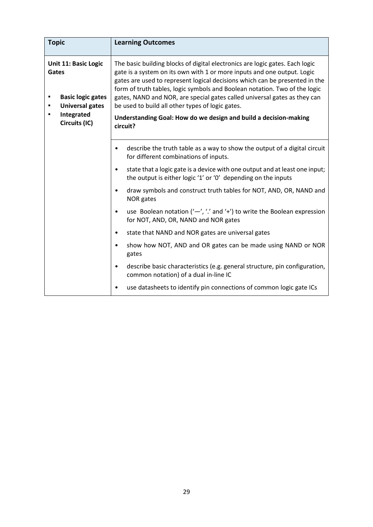| <b>Topic</b>                                       | <b>Learning Outcomes</b>                                                                                                                                                                                                                                                                                             |  |  |  |  |  |
|----------------------------------------------------|----------------------------------------------------------------------------------------------------------------------------------------------------------------------------------------------------------------------------------------------------------------------------------------------------------------------|--|--|--|--|--|
| Unit 11: Basic Logic<br>Gates                      | The basic building blocks of digital electronics are logic gates. Each logic<br>gate is a system on its own with 1 or more inputs and one output. Logic<br>gates are used to represent logical decisions which can be presented in the<br>form of truth tables, logic symbols and Boolean notation. Two of the logic |  |  |  |  |  |
| <b>Basic logic gates</b><br><b>Universal gates</b> | gates, NAND and NOR, are special gates called universal gates as they can<br>be used to build all other types of logic gates.                                                                                                                                                                                        |  |  |  |  |  |
| Integrated<br>٠<br>Circuits (IC)                   | Understanding Goal: How do we design and build a decision-making<br>circuit?                                                                                                                                                                                                                                         |  |  |  |  |  |
|                                                    | describe the truth table as a way to show the output of a digital circuit<br>for different combinations of inputs.                                                                                                                                                                                                   |  |  |  |  |  |
|                                                    | state that a logic gate is a device with one output and at least one input;<br>٠<br>the output is either logic '1' or '0' depending on the inputs                                                                                                                                                                    |  |  |  |  |  |
|                                                    | draw symbols and construct truth tables for NOT, AND, OR, NAND and<br>٠<br>NOR gates                                                                                                                                                                                                                                 |  |  |  |  |  |
|                                                    | use Boolean notation ( $\leftarrow'$ , '.' and '+') to write the Boolean expression<br>٠<br>for NOT, AND, OR, NAND and NOR gates                                                                                                                                                                                     |  |  |  |  |  |
|                                                    | state that NAND and NOR gates are universal gates                                                                                                                                                                                                                                                                    |  |  |  |  |  |
|                                                    | show how NOT, AND and OR gates can be made using NAND or NOR<br>gates                                                                                                                                                                                                                                                |  |  |  |  |  |
|                                                    | describe basic characteristics (e.g. general structure, pin configuration,<br>common notation) of a dual in-line IC                                                                                                                                                                                                  |  |  |  |  |  |
|                                                    | use datasheets to identify pin connections of common logic gate ICs                                                                                                                                                                                                                                                  |  |  |  |  |  |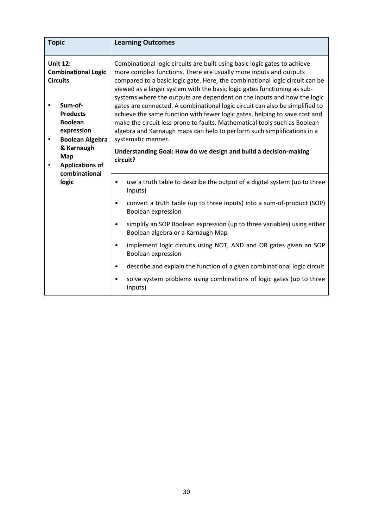| <b>Topic</b>                                                                |                                                                           | <b>Learning Outcomes</b>                                                                                                                                                                                                                                                                                                                                                                                                                                              |  |  |  |  |
|-----------------------------------------------------------------------------|---------------------------------------------------------------------------|-----------------------------------------------------------------------------------------------------------------------------------------------------------------------------------------------------------------------------------------------------------------------------------------------------------------------------------------------------------------------------------------------------------------------------------------------------------------------|--|--|--|--|
| <b>Unit 12:</b><br><b>Combinational Logic</b><br><b>Circuits</b><br>Sum-of- |                                                                           | Combinational logic circuits are built using basic logic gates to achieve<br>more complex functions. There are usually more inputs and outputs<br>compared to a basic logic gate. Here, the combinational logic circuit can be<br>viewed as a larger system with the basic logic gates functioning as sub-<br>systems where the outputs are dependent on the inputs and how the logic<br>gates are connected. A combinational logic circuit can also be simplified to |  |  |  |  |
|                                                                             | <b>Products</b><br><b>Boolean</b><br>expression<br><b>Boolean Algebra</b> | achieve the same function with fewer logic gates, helping to save cost and<br>make the circuit less prone to faults. Mathematical tools such as Boolean<br>algebra and Karnaugh maps can help to perform such simplifications in a<br>systematic manner.                                                                                                                                                                                                              |  |  |  |  |
|                                                                             | & Karnaugh<br><b>Map</b><br><b>Applications of</b><br>combinational       | Understanding Goal: How do we design and build a decision-making<br>circuit?                                                                                                                                                                                                                                                                                                                                                                                          |  |  |  |  |
|                                                                             | logic                                                                     | use a truth table to describe the output of a digital system (up to three<br>٠<br>inputs)                                                                                                                                                                                                                                                                                                                                                                             |  |  |  |  |
|                                                                             |                                                                           | convert a truth table (up to three inputs) into a sum-of-product (SOP)<br>٠<br>Boolean expression                                                                                                                                                                                                                                                                                                                                                                     |  |  |  |  |
|                                                                             |                                                                           | simplify an SOP Boolean expression (up to three variables) using either<br>٠<br>Boolean algebra or a Karnaugh Map                                                                                                                                                                                                                                                                                                                                                     |  |  |  |  |
|                                                                             |                                                                           | implement logic circuits using NOT, AND and OR gates given an SOP<br>Boolean expression                                                                                                                                                                                                                                                                                                                                                                               |  |  |  |  |
|                                                                             |                                                                           | describe and explain the function of a given combinational logic circuit                                                                                                                                                                                                                                                                                                                                                                                              |  |  |  |  |
|                                                                             |                                                                           | solve system problems using combinations of logic gates (up to three<br>inputs)                                                                                                                                                                                                                                                                                                                                                                                       |  |  |  |  |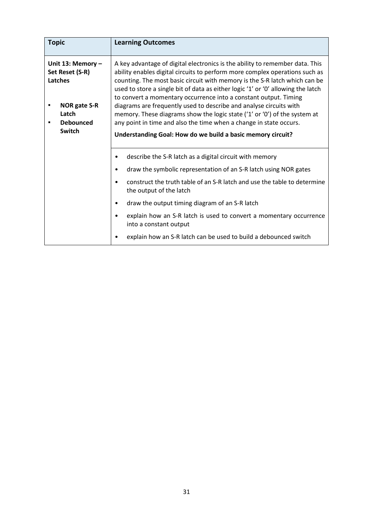| <b>Topic</b>                                                                                        | <b>Learning Outcomes</b>                                                                                                                                                                                                                                                                                                                                                                                                                                                                                                                                                                                                   |  |  |  |  |
|-----------------------------------------------------------------------------------------------------|----------------------------------------------------------------------------------------------------------------------------------------------------------------------------------------------------------------------------------------------------------------------------------------------------------------------------------------------------------------------------------------------------------------------------------------------------------------------------------------------------------------------------------------------------------------------------------------------------------------------------|--|--|--|--|
| Unit 13: Memory -<br>Set Reset (S-R)<br>Latches<br><b>NOR gate S-R</b><br>Latch<br><b>Debounced</b> | A key advantage of digital electronics is the ability to remember data. This<br>ability enables digital circuits to perform more complex operations such as<br>counting. The most basic circuit with memory is the S-R latch which can be<br>used to store a single bit of data as either logic '1' or '0' allowing the latch<br>to convert a momentary occurrence into a constant output. Timing<br>diagrams are frequently used to describe and analyse circuits with<br>memory. These diagrams show the logic state ('1' or '0') of the system at<br>any point in time and also the time when a change in state occurs. |  |  |  |  |
| Switch                                                                                              | Understanding Goal: How do we build a basic memory circuit?                                                                                                                                                                                                                                                                                                                                                                                                                                                                                                                                                                |  |  |  |  |
|                                                                                                     | describe the S-R latch as a digital circuit with memory                                                                                                                                                                                                                                                                                                                                                                                                                                                                                                                                                                    |  |  |  |  |
|                                                                                                     | draw the symbolic representation of an S-R latch using NOR gates                                                                                                                                                                                                                                                                                                                                                                                                                                                                                                                                                           |  |  |  |  |
|                                                                                                     | construct the truth table of an S-R latch and use the table to determine<br>the output of the latch                                                                                                                                                                                                                                                                                                                                                                                                                                                                                                                        |  |  |  |  |
|                                                                                                     | draw the output timing diagram of an S-R latch                                                                                                                                                                                                                                                                                                                                                                                                                                                                                                                                                                             |  |  |  |  |
|                                                                                                     | explain how an S-R latch is used to convert a momentary occurrence<br>into a constant output                                                                                                                                                                                                                                                                                                                                                                                                                                                                                                                               |  |  |  |  |
|                                                                                                     | explain how an S-R latch can be used to build a debounced switch                                                                                                                                                                                                                                                                                                                                                                                                                                                                                                                                                           |  |  |  |  |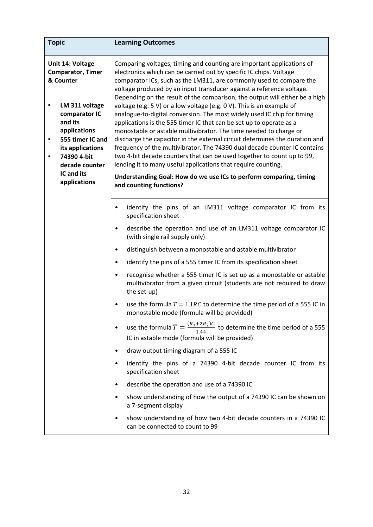| <b>Topic</b>                                                                                                                                                                                                                                  | <b>Learning Outcomes</b>                                                                                                                                                                                                                                                                                                                                                                                                                                                                                                                                                                                                                                                                                                                                                                                                                                                                                                                                                                                                                                                          |  |  |  |  |
|-----------------------------------------------------------------------------------------------------------------------------------------------------------------------------------------------------------------------------------------------|-----------------------------------------------------------------------------------------------------------------------------------------------------------------------------------------------------------------------------------------------------------------------------------------------------------------------------------------------------------------------------------------------------------------------------------------------------------------------------------------------------------------------------------------------------------------------------------------------------------------------------------------------------------------------------------------------------------------------------------------------------------------------------------------------------------------------------------------------------------------------------------------------------------------------------------------------------------------------------------------------------------------------------------------------------------------------------------|--|--|--|--|
| Unit 14: Voltage<br><b>Comparator, Timer</b><br>& Counter<br>LM 311 voltage<br>Е<br>comparator IC<br>and its<br>applications<br>555 timer IC and<br>Ξ<br>its applications<br>74390 4-bit<br>Е<br>decade counter<br>IC and its<br>applications | Comparing voltages, timing and counting are important applications of<br>electronics which can be carried out by specific IC chips. Voltage<br>comparator ICs, such as the LM311, are commonly used to compare the<br>voltage produced by an input transducer against a reference voltage.<br>Depending on the result of the comparison, the output will either be a high<br>voltage (e.g. 5 V) or a low voltage (e.g. 0 V). This is an example of<br>analogue-to-digital conversion. The most widely used IC chip for timing<br>applications is the 555 timer IC that can be set up to operate as a<br>monostable or astable multivibrator. The time needed to charge or<br>discharge the capacitor in the external circuit determines the duration and<br>frequency of the multivibrator. The 74390 dual decade counter IC contains<br>two 4-bit decade counters that can be used together to count up to 99,<br>lending it to many useful applications that require counting.<br>Understanding Goal: How do we use ICs to perform comparing, timing<br>and counting functions? |  |  |  |  |
|                                                                                                                                                                                                                                               | identify the pins of an LM311 voltage comparator IC from its<br>$\bullet$<br>specification sheet                                                                                                                                                                                                                                                                                                                                                                                                                                                                                                                                                                                                                                                                                                                                                                                                                                                                                                                                                                                  |  |  |  |  |
|                                                                                                                                                                                                                                               | describe the operation and use of an LM311 voltage comparator IC<br>$\bullet$<br>(with single rail supply only)                                                                                                                                                                                                                                                                                                                                                                                                                                                                                                                                                                                                                                                                                                                                                                                                                                                                                                                                                                   |  |  |  |  |
|                                                                                                                                                                                                                                               | distinguish between a monostable and astable multivibrator<br>٠                                                                                                                                                                                                                                                                                                                                                                                                                                                                                                                                                                                                                                                                                                                                                                                                                                                                                                                                                                                                                   |  |  |  |  |
|                                                                                                                                                                                                                                               | identify the pins of a 555 timer IC from its specification sheet<br>٠                                                                                                                                                                                                                                                                                                                                                                                                                                                                                                                                                                                                                                                                                                                                                                                                                                                                                                                                                                                                             |  |  |  |  |
|                                                                                                                                                                                                                                               | recognise whether a 555 timer IC is set up as a monostable or astable<br>$\bullet$<br>multivibrator from a given circuit (students are not required to draw<br>the set-up)                                                                                                                                                                                                                                                                                                                                                                                                                                                                                                                                                                                                                                                                                                                                                                                                                                                                                                        |  |  |  |  |
|                                                                                                                                                                                                                                               | use the formula $T = 1.1RC$ to determine the time period of a 555 IC in<br>٠<br>monostable mode (formula will be provided)                                                                                                                                                                                                                                                                                                                                                                                                                                                                                                                                                                                                                                                                                                                                                                                                                                                                                                                                                        |  |  |  |  |
|                                                                                                                                                                                                                                               | use the formula $T = \frac{(R_1 + 2R_2)C}{1.44}$ to determine the time period of a 555<br>IC in astable mode (formula will be provided)                                                                                                                                                                                                                                                                                                                                                                                                                                                                                                                                                                                                                                                                                                                                                                                                                                                                                                                                           |  |  |  |  |
|                                                                                                                                                                                                                                               | draw output timing diagram of a 555 IC                                                                                                                                                                                                                                                                                                                                                                                                                                                                                                                                                                                                                                                                                                                                                                                                                                                                                                                                                                                                                                            |  |  |  |  |
|                                                                                                                                                                                                                                               | identify the pins of a 74390 4-bit decade counter IC from its<br>specification sheet                                                                                                                                                                                                                                                                                                                                                                                                                                                                                                                                                                                                                                                                                                                                                                                                                                                                                                                                                                                              |  |  |  |  |
|                                                                                                                                                                                                                                               | describe the operation and use of a 74390 IC                                                                                                                                                                                                                                                                                                                                                                                                                                                                                                                                                                                                                                                                                                                                                                                                                                                                                                                                                                                                                                      |  |  |  |  |
|                                                                                                                                                                                                                                               | show understanding of how the output of a 74390 IC can be shown on<br>a 7-segment display                                                                                                                                                                                                                                                                                                                                                                                                                                                                                                                                                                                                                                                                                                                                                                                                                                                                                                                                                                                         |  |  |  |  |
|                                                                                                                                                                                                                                               | show understanding of how two 4-bit decade counters in a 74390 IC<br>can be connected to count to 99                                                                                                                                                                                                                                                                                                                                                                                                                                                                                                                                                                                                                                                                                                                                                                                                                                                                                                                                                                              |  |  |  |  |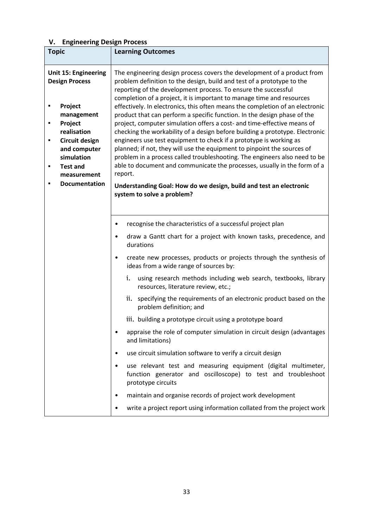### **V. Engineering Design Process**

| <b>Topic</b>                                                                                                                                                                                                                                 | <b>Learning Outcomes</b>                                                                                                                                                                                                                                                                                                                                                                                                                                                                                                                                                                                                                                                                                                                                                                                                                                                                                                                                                                                                                       |  |  |
|----------------------------------------------------------------------------------------------------------------------------------------------------------------------------------------------------------------------------------------------|------------------------------------------------------------------------------------------------------------------------------------------------------------------------------------------------------------------------------------------------------------------------------------------------------------------------------------------------------------------------------------------------------------------------------------------------------------------------------------------------------------------------------------------------------------------------------------------------------------------------------------------------------------------------------------------------------------------------------------------------------------------------------------------------------------------------------------------------------------------------------------------------------------------------------------------------------------------------------------------------------------------------------------------------|--|--|
| <b>Unit 15: Engineering</b><br><b>Design Process</b><br>Project<br>٠<br>management<br>Project<br>٠<br>realisation<br><b>Circuit design</b><br>٠<br>and computer<br>simulation<br><b>Test and</b><br>٠<br>measurement<br><b>Documentation</b> | The engineering design process covers the development of a product from<br>problem definition to the design, build and test of a prototype to the<br>reporting of the development process. To ensure the successful<br>completion of a project, it is important to manage time and resources<br>effectively. In electronics, this often means the completion of an electronic<br>product that can perform a specific function. In the design phase of the<br>project, computer simulation offers a cost- and time-effective means of<br>checking the workability of a design before building a prototype. Electronic<br>engineers use test equipment to check if a prototype is working as<br>planned; if not, they will use the equipment to pinpoint the sources of<br>problem in a process called troubleshooting. The engineers also need to be<br>able to document and communicate the processes, usually in the form of a<br>report.<br>Understanding Goal: How do we design, build and test an electronic<br>system to solve a problem? |  |  |
|                                                                                                                                                                                                                                              | recognise the characteristics of a successful project plan                                                                                                                                                                                                                                                                                                                                                                                                                                                                                                                                                                                                                                                                                                                                                                                                                                                                                                                                                                                     |  |  |
|                                                                                                                                                                                                                                              | draw a Gantt chart for a project with known tasks, precedence, and<br>٠<br>durations                                                                                                                                                                                                                                                                                                                                                                                                                                                                                                                                                                                                                                                                                                                                                                                                                                                                                                                                                           |  |  |
|                                                                                                                                                                                                                                              | create new processes, products or projects through the synthesis of<br>٠<br>ideas from a wide range of sources by:                                                                                                                                                                                                                                                                                                                                                                                                                                                                                                                                                                                                                                                                                                                                                                                                                                                                                                                             |  |  |
|                                                                                                                                                                                                                                              | i.<br>using research methods including web search, textbooks, library<br>resources, literature review, etc.;                                                                                                                                                                                                                                                                                                                                                                                                                                                                                                                                                                                                                                                                                                                                                                                                                                                                                                                                   |  |  |
|                                                                                                                                                                                                                                              | specifying the requirements of an electronic product based on the<br>ij.<br>problem definition; and                                                                                                                                                                                                                                                                                                                                                                                                                                                                                                                                                                                                                                                                                                                                                                                                                                                                                                                                            |  |  |
|                                                                                                                                                                                                                                              | iii. building a prototype circuit using a prototype board                                                                                                                                                                                                                                                                                                                                                                                                                                                                                                                                                                                                                                                                                                                                                                                                                                                                                                                                                                                      |  |  |
|                                                                                                                                                                                                                                              | appraise the role of computer simulation in circuit design (advantages<br>$\bullet$<br>and limitations)                                                                                                                                                                                                                                                                                                                                                                                                                                                                                                                                                                                                                                                                                                                                                                                                                                                                                                                                        |  |  |
|                                                                                                                                                                                                                                              | use circuit simulation software to verify a circuit design<br>٠                                                                                                                                                                                                                                                                                                                                                                                                                                                                                                                                                                                                                                                                                                                                                                                                                                                                                                                                                                                |  |  |
|                                                                                                                                                                                                                                              | use relevant test and measuring equipment (digital multimeter,<br>٠<br>function generator and oscilloscope) to test and troubleshoot<br>prototype circuits                                                                                                                                                                                                                                                                                                                                                                                                                                                                                                                                                                                                                                                                                                                                                                                                                                                                                     |  |  |
|                                                                                                                                                                                                                                              | maintain and organise records of project work development<br>$\bullet$                                                                                                                                                                                                                                                                                                                                                                                                                                                                                                                                                                                                                                                                                                                                                                                                                                                                                                                                                                         |  |  |
|                                                                                                                                                                                                                                              | write a project report using information collated from the project work                                                                                                                                                                                                                                                                                                                                                                                                                                                                                                                                                                                                                                                                                                                                                                                                                                                                                                                                                                        |  |  |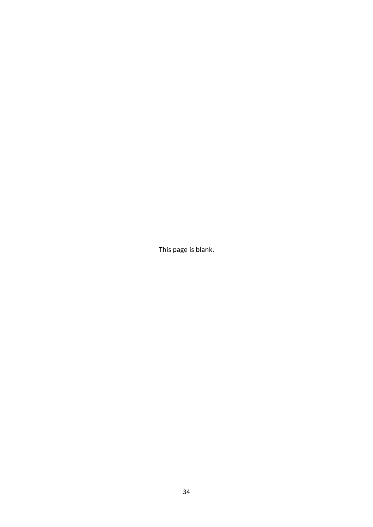This page is blank.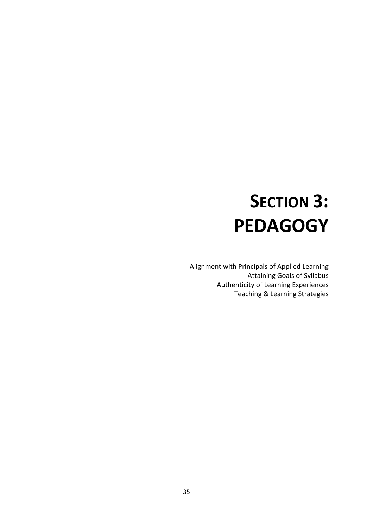# **SECTION 3: PEDAGOGY**

Alignment with Principals of Applied Learning Attaining Goals of Syllabus Authenticity of Learning Experiences Teaching & Learning Strategies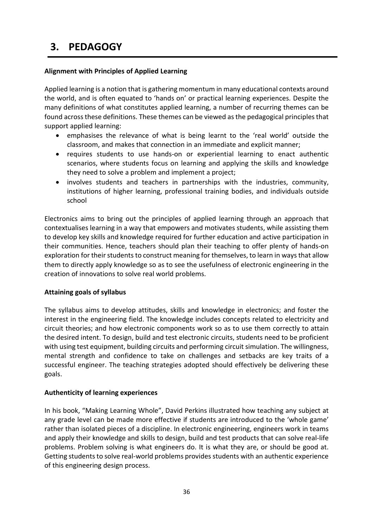## **3. PEDAGOGY**

### **Alignment with Principles of Applied Learning**

Applied learning is a notion that is gathering momentum in many educational contexts around the world, and is often equated to 'hands on' or practical learning experiences. Despite the many definitions of what constitutes applied learning, a number of recurring themes can be found across these definitions. These themes can be viewed as the pedagogical principles that support applied learning:

- emphasises the relevance of what is being learnt to the 'real world' outside the classroom, and makes that connection in an immediate and explicit manner;
- requires students to use hands-on or experiential learning to enact authentic scenarios, where students focus on learning and applying the skills and knowledge they need to solve a problem and implement a project;
- involves students and teachers in partnerships with the industries, community, institutions of higher learning, professional training bodies, and individuals outside school

Electronics aims to bring out the principles of applied learning through an approach that contextualises learning in a way that empowers and motivates students, while assisting them to develop key skills and knowledge required for further education and active participation in their communities. Hence, teachers should plan their teaching to offer plenty of hands-on exploration for their students to construct meaning for themselves, to learn in ways that allow them to directly apply knowledge so as to see the usefulness of electronic engineering in the creation of innovations to solve real world problems.

### **Attaining goals of syllabus**

The syllabus aims to develop attitudes, skills and knowledge in electronics; and foster the interest in the engineering field. The knowledge includes concepts related to electricity and circuit theories; and how electronic components work so as to use them correctly to attain the desired intent. To design, build and test electronic circuits, students need to be proficient with using test equipment, building circuits and performing circuit simulation. The willingness, mental strength and confidence to take on challenges and setbacks are key traits of a successful engineer. The teaching strategies adopted should effectively be delivering these goals.

### **Authenticity of learning experiences**

In his book, "Making Learning Whole", David Perkins illustrated how teaching any subject at any grade level can be made more effective if students are introduced to the 'whole game' rather than isolated pieces of a discipline. In electronic engineering, engineers work in teams and apply their knowledge and skills to design, build and test products that can solve real-life problems. Problem solving is what engineers do. It is what they are, or should be good at. Getting students to solve real-world problems provides students with an authentic experience of this engineering design process.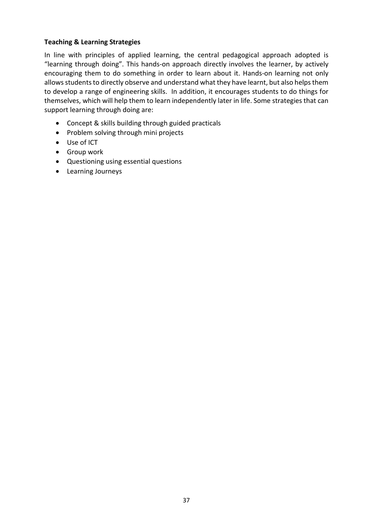### **Teaching & Learning Strategies**

In line with principles of applied learning, the central pedagogical approach adopted is "learning through doing". This hands-on approach directly involves the learner, by actively encouraging them to do something in order to learn about it. Hands-on learning not only allows students to directly observe and understand what they have learnt, but also helps them to develop a range of engineering skills. In addition, it encourages students to do things for themselves, which will help them to learn independently later in life. Some strategies that can support learning through doing are:

- Concept & skills building through guided practicals
- Problem solving through mini projects
- Use of ICT
- **•** Group work
- Questioning using essential questions
- Learning Journeys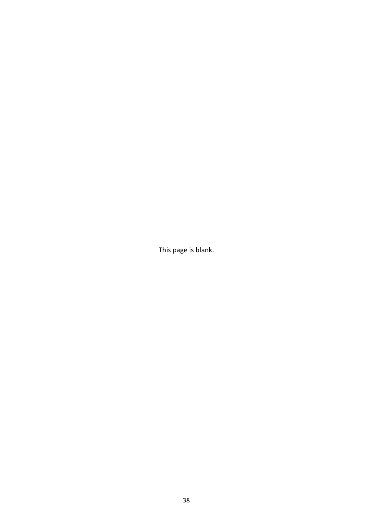This page is blank.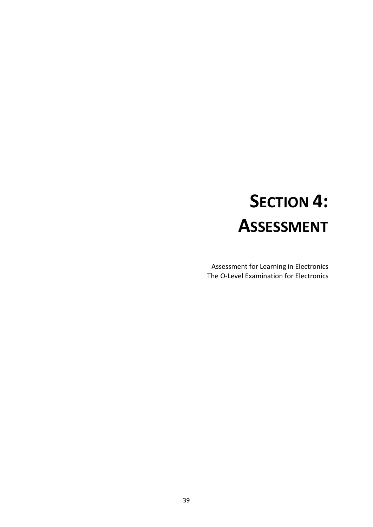# **SECTION 4: ASSESSMENT**

Assessment for Learning in Electronics The O-Level Examination for Electronics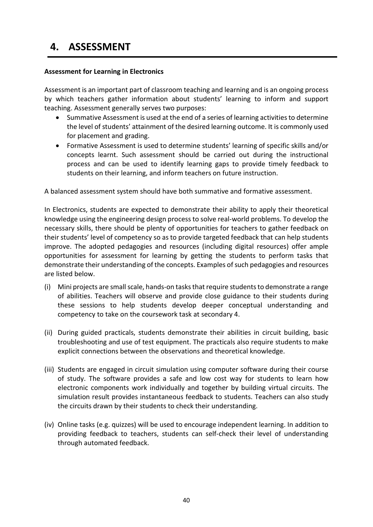## **4. ASSESSMENT**

### **Assessment for Learning in Electronics**

Assessment is an important part of classroom teaching and learning and is an ongoing process by which teachers gather information about students' learning to inform and support teaching. Assessment generally serves two purposes:

- Summative Assessment is used at the end of a series of learning activities to determine the level of students' attainment of the desired learning outcome. It is commonly used for placement and grading.
- Formative Assessment is used to determine students' learning of specific skills and/or concepts learnt. Such assessment should be carried out during the instructional process and can be used to identify learning gaps to provide timely feedback to students on their learning, and inform teachers on future instruction.

A balanced assessment system should have both summative and formative assessment.

In Electronics, students are expected to demonstrate their ability to apply their theoretical knowledge using the engineering design process to solve real-world problems. To develop the necessary skills, there should be plenty of opportunities for teachers to gather feedback on their students' level of competency so as to provide targeted feedback that can help students improve. The adopted pedagogies and resources (including digital resources) offer ample opportunities for assessment for learning by getting the students to perform tasks that demonstrate their understanding of the concepts. Examples of such pedagogies and resources are listed below.

- (i) Mini projects are small scale, hands-on tasks that require students to demonstrate a range of abilities. Teachers will observe and provide close guidance to their students during these sessions to help students develop deeper conceptual understanding and competency to take on the coursework task at secondary 4.
- (ii) During guided practicals, students demonstrate their abilities in circuit building, basic troubleshooting and use of test equipment. The practicals also require students to make explicit connections between the observations and theoretical knowledge.
- (iii) Students are engaged in circuit simulation using computer software during their course of study. The software provides a safe and low cost way for students to learn how electronic components work individually and together by building virtual circuits. The simulation result provides instantaneous feedback to students. Teachers can also study the circuits drawn by their students to check their understanding.
- (iv) Online tasks (e.g. quizzes) will be used to encourage independent learning. In addition to providing feedback to teachers, students can self-check their level of understanding through automated feedback.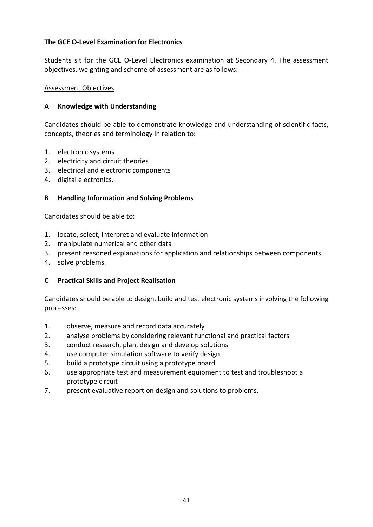### **The GCE O-Level Examination for Electronics**

Students sit for the GCE O-Level Electronics examination at Secondary 4. The assessment objectives, weighting and scheme of assessment are as follows:

### Assessment Objectives

### **A Knowledge with Understanding**

Candidates should be able to demonstrate knowledge and understanding of scientific facts, concepts, theories and terminology in relation to:

- 1. electronic systems
- 2. electricity and circuit theories
- 3. electrical and electronic components
- 4. digital electronics.

### **B Handling Information and Solving Problems**

Candidates should be able to:

- 1. locate, select, interpret and evaluate information
- 2. manipulate numerical and other data
- 3. present reasoned explanations for application and relationships between components
- 4. solve problems.

### **C Practical Skills and Project Realisation**

Candidates should be able to design, build and test electronic systems involving the following processes:

- 1. observe, measure and record data accurately
- 2. analyse problems by considering relevant functional and practical factors
- 3. conduct research, plan, design and develop solutions
- 4. use computer simulation software to verify design
- 5. build a prototype circuit using a prototype board
- 6. use appropriate test and measurement equipment to test and troubleshoot a prototype circuit
- 7. present evaluative report on design and solutions to problems.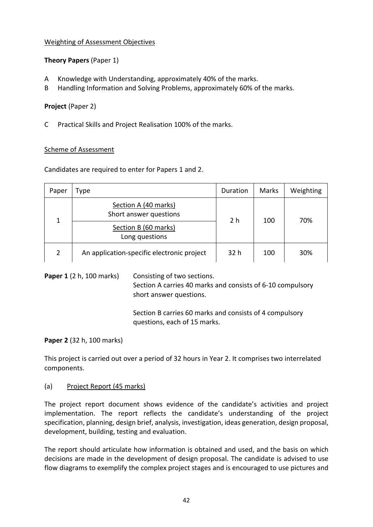### Weighting of Assessment Objectives

### **Theory Papers** (Paper 1)

- A Knowledge with Understanding, approximately 40% of the marks.
- B Handling Information and Solving Problems, approximately 60% of the marks.

### **Project** (Paper 2)

C Practical Skills and Project Realisation 100% of the marks.

### Scheme of Assessment

Candidates are required to enter for Papers 1 and 2.

| Paper        | Type                                           | Duration       | <b>Marks</b> | Weighting |
|--------------|------------------------------------------------|----------------|--------------|-----------|
| $\mathbf{1}$ | Section A (40 marks)<br>Short answer questions | 2 <sub>h</sub> | 100          | 70%       |
|              | Section B (60 marks)<br>Long questions         |                |              |           |
| 2            | An application-specific electronic project     | 32 h           | 100          | 30%       |

**Paper 1** (2 h, 100 marks) Consisting of two sections. Section A carries 40 marks and consists of 6-10 compulsory short answer questions.

> Section B carries 60 marks and consists of 4 compulsory questions, each of 15 marks.

### **Paper 2** (32 h, 100 marks)

This project is carried out over a period of 32 hours in Year 2. It comprises two interrelated components.

### (a) Project Report (45 marks)

The project report document shows evidence of the candidate's activities and project implementation. The report reflects the candidate's understanding of the project specification, planning, design brief, analysis, investigation, ideas generation, design proposal, development, building, testing and evaluation.

The report should articulate how information is obtained and used, and the basis on which decisions are made in the development of design proposal. The candidate is advised to use flow diagrams to exemplify the complex project stages and is encouraged to use pictures and